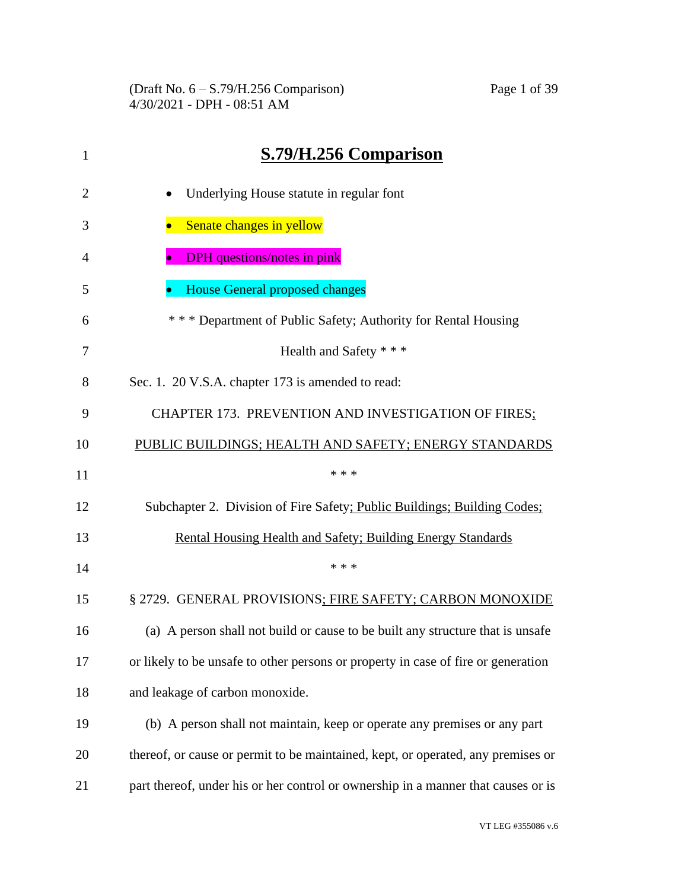| 1              | S.79/H.256 Comparison                                                             |
|----------------|-----------------------------------------------------------------------------------|
| $\overline{2}$ | Underlying House statute in regular font                                          |
| 3              | Senate changes in yellow                                                          |
| 4              | <b>DPH</b> questions/notes in pink                                                |
| 5              | <b>House General proposed changes</b>                                             |
| 6              | *** Department of Public Safety; Authority for Rental Housing                     |
| 7              | Health and Safety * * *                                                           |
| 8              | Sec. 1. 20 V.S.A. chapter 173 is amended to read:                                 |
| 9              | CHAPTER 173. PREVENTION AND INVESTIGATION OF FIRES;                               |
| 10             | PUBLIC BUILDINGS; HEALTH AND SAFETY; ENERGY STANDARDS                             |
| 11             | * * *                                                                             |
| 12             | Subchapter 2. Division of Fire Safety; Public Buildings; Building Codes;          |
| 13             | Rental Housing Health and Safety; Building Energy Standards                       |
| 14             | * * *                                                                             |
| 15             | § 2729. GENERAL PROVISIONS; FIRE SAFETY; CARBON MONOXIDE                          |
| 16             | (a) A person shall not build or cause to be built any structure that is unsafe    |
| 17             | or likely to be unsafe to other persons or property in case of fire or generation |
| 18             | and leakage of carbon monoxide.                                                   |
| 19             | (b) A person shall not maintain, keep or operate any premises or any part         |
| 20             | thereof, or cause or permit to be maintained, kept, or operated, any premises or  |
| 21             | part thereof, under his or her control or ownership in a manner that causes or is |
|                |                                                                                   |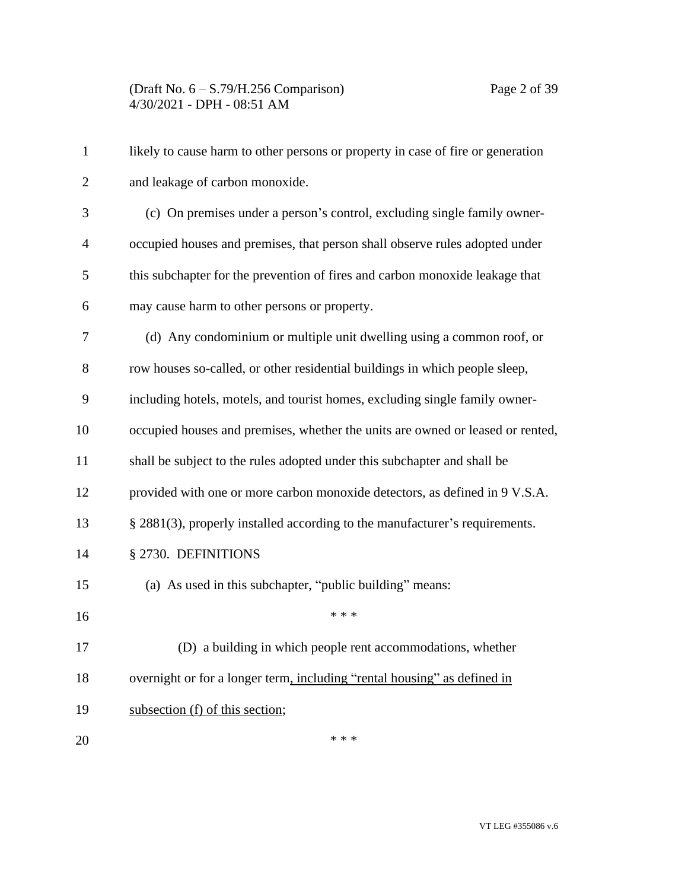| $\mathbf{1}$   | likely to cause harm to other persons or property in case of fire or generation |
|----------------|---------------------------------------------------------------------------------|
| $\overline{2}$ | and leakage of carbon monoxide.                                                 |
| 3              | (c) On premises under a person's control, excluding single family owner-        |
| 4              | occupied houses and premises, that person shall observe rules adopted under     |
| 5              | this subchapter for the prevention of fires and carbon monoxide leakage that    |
| 6              | may cause harm to other persons or property.                                    |
| 7              | (d) Any condominium or multiple unit dwelling using a common roof, or           |
| 8              | row houses so-called, or other residential buildings in which people sleep,     |
| 9              | including hotels, motels, and tourist homes, excluding single family owner-     |
| 10             | occupied houses and premises, whether the units are owned or leased or rented,  |
| 11             | shall be subject to the rules adopted under this subchapter and shall be        |
| 12             | provided with one or more carbon monoxide detectors, as defined in 9 V.S.A.     |
| 13             | § 2881(3), properly installed according to the manufacturer's requirements.     |
| 14             | § 2730. DEFINITIONS                                                             |
| 15             | (a) As used in this subchapter, "public building" means:                        |
| 16             | * * *                                                                           |
| 17             | (D) a building in which people rent accommodations, whether                     |
| 18             | overnight or for a longer term, including "rental housing" as defined in        |
| 19             | subsection (f) of this section;                                                 |
| 20             | * * *                                                                           |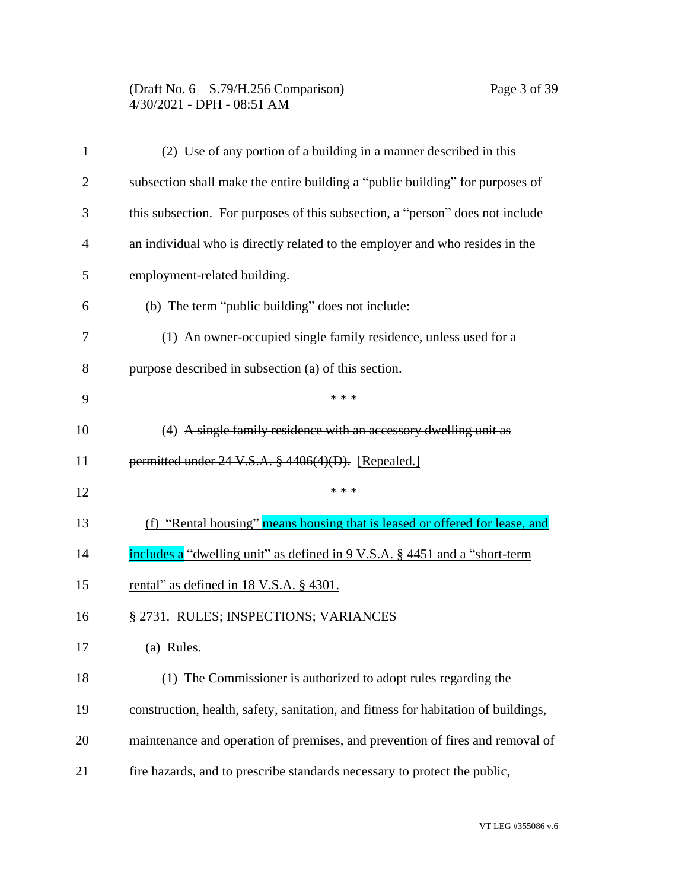# (Draft No. 6 – S.79/H.256 Comparison) Page 3 of 39 4/30/2021 - DPH - 08:51 AM

| 1              | (2) Use of any portion of a building in a manner described in this                 |
|----------------|------------------------------------------------------------------------------------|
| $\overline{2}$ | subsection shall make the entire building a "public building" for purposes of      |
| 3              | this subsection. For purposes of this subsection, a "person" does not include      |
| 4              | an individual who is directly related to the employer and who resides in the       |
| 5              | employment-related building.                                                       |
| 6              | (b) The term "public building" does not include:                                   |
| 7              | (1) An owner-occupied single family residence, unless used for a                   |
| 8              | purpose described in subsection (a) of this section.                               |
| 9              | * * *                                                                              |
| 10             | (4) A single family residence with an accessory dwelling unit as                   |
| 11             | permitted under 24 V.S.A. § 4406(4)(D). [Repealed.]                                |
| 12             | * * *                                                                              |
| 13             | (f) "Rental housing" means housing that is leased or offered for lease, and        |
| 14             | includes a "dwelling unit" as defined in 9 V.S.A. § 4451 and a "short-term         |
| 15             | rental" as defined in 18 V.S.A. § 4301.                                            |
| 16             | § 2731. RULES; INSPECTIONS; VARIANCES                                              |
| 17             | (a) Rules.                                                                         |
| 18             | (1) The Commissioner is authorized to adopt rules regarding the                    |
| 19             | construction, health, safety, sanitation, and fitness for habitation of buildings, |
| 20             | maintenance and operation of premises, and prevention of fires and removal of      |
| 21             | fire hazards, and to prescribe standards necessary to protect the public,          |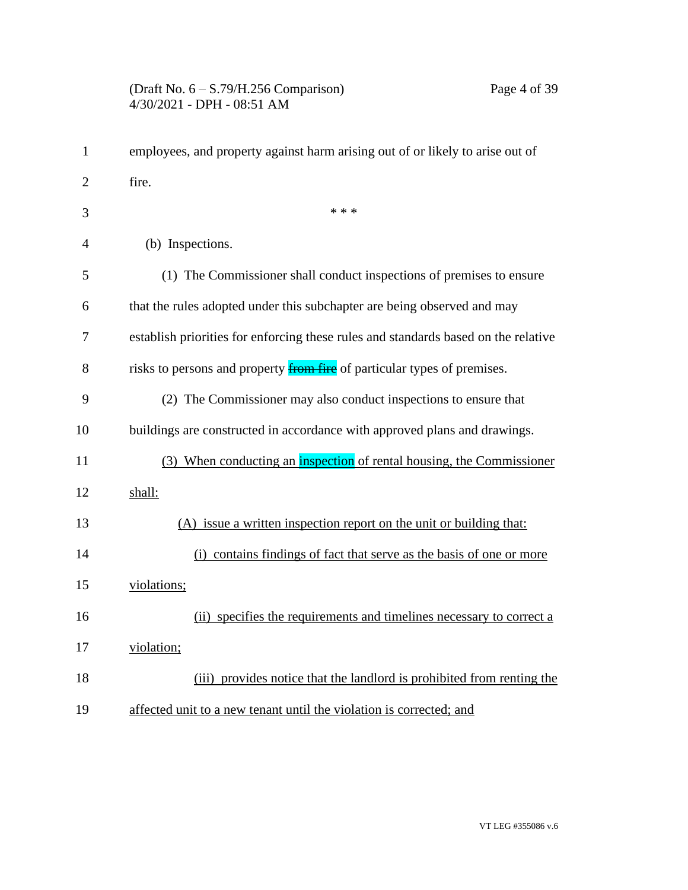| $\mathbf{1}$   | employees, and property against harm arising out of or likely to arise out of      |
|----------------|------------------------------------------------------------------------------------|
| $\overline{2}$ | fire.                                                                              |
| 3              | * * *                                                                              |
| $\overline{4}$ | (b) Inspections.                                                                   |
| 5              | (1) The Commissioner shall conduct inspections of premises to ensure               |
| 6              | that the rules adopted under this subchapter are being observed and may            |
| 7              | establish priorities for enforcing these rules and standards based on the relative |
| 8              | risks to persons and property <b>from fire</b> of particular types of premises.    |
| 9              | (2) The Commissioner may also conduct inspections to ensure that                   |
| 10             | buildings are constructed in accordance with approved plans and drawings.          |
| 11             | (3) When conducting an inspection of rental housing, the Commissioner              |
| 12             | shall:                                                                             |
| 13             | (A) issue a written inspection report on the unit or building that:                |
| 14             | (i) contains findings of fact that serve as the basis of one or more               |
| 15             | violations;                                                                        |
| 16             | (ii) specifies the requirements and timelines necessary to correct a               |
| 17             | violation;                                                                         |
| 18             | (iii) provides notice that the landlord is prohibited from renting the             |
| 19             | affected unit to a new tenant until the violation is corrected; and                |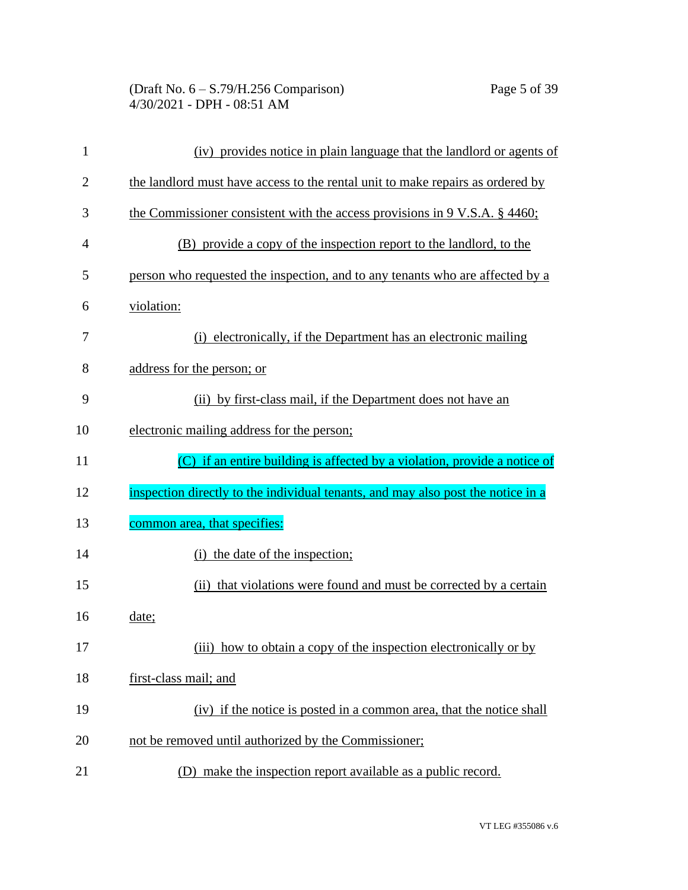| 1              | (iv) provides notice in plain language that the landlord or agents of            |
|----------------|----------------------------------------------------------------------------------|
| $\overline{2}$ | the landlord must have access to the rental unit to make repairs as ordered by   |
| 3              | the Commissioner consistent with the access provisions in $9 V.S.A. \S 4460$ ;   |
| $\overline{4}$ | (B) provide a copy of the inspection report to the landlord, to the              |
| 5              | person who requested the inspection, and to any tenants who are affected by a    |
| 6              | violation:                                                                       |
| 7              | (i) electronically, if the Department has an electronic mailing                  |
| 8              | address for the person; or                                                       |
| 9              | (ii) by first-class mail, if the Department does not have an                     |
| 10             | electronic mailing address for the person;                                       |
| 11             | (C) if an entire building is affected by a violation, provide a notice of        |
| 12             | inspection directly to the individual tenants, and may also post the notice in a |
| 13             | common area, that specifies:                                                     |
| 14             | (i) the date of the inspection;                                                  |
| 15             | (ii) that violations were found and must be corrected by a certain               |
| 16             | date;                                                                            |
| 17             | (iii) how to obtain a copy of the inspection electronically or by                |
| 18             | first-class mail; and                                                            |
| 19             | (iv) if the notice is posted in a common area, that the notice shall             |
| 20             | not be removed until authorized by the Commissioner;                             |
| 21             | (D) make the inspection report available as a public record.                     |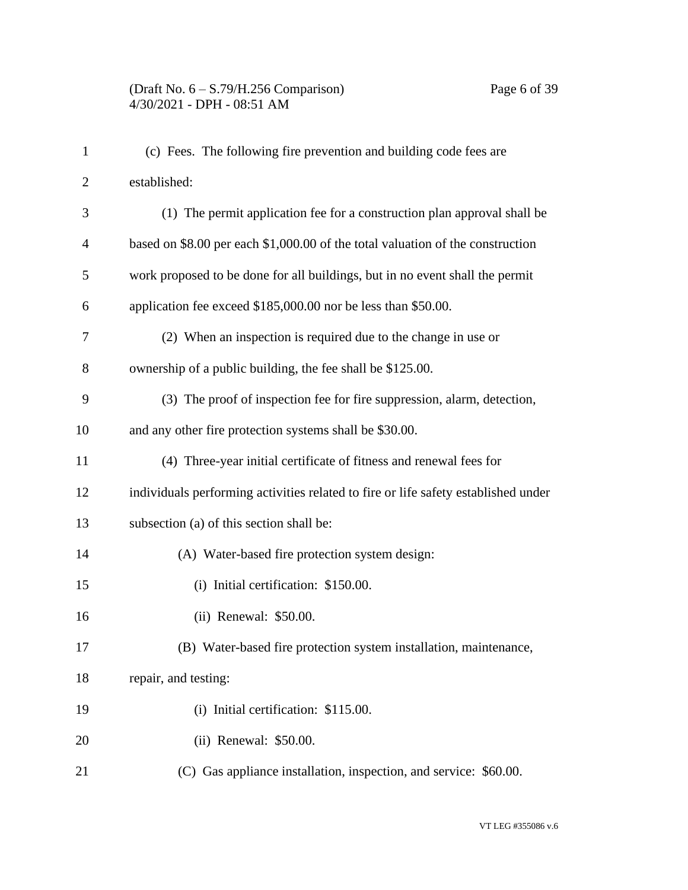## (Draft No. 6 – S.79/H.256 Comparison) Page 6 of 39 4/30/2021 - DPH - 08:51 AM

| $\mathbf{1}$   | (c) Fees. The following fire prevention and building code fees are                 |
|----------------|------------------------------------------------------------------------------------|
| $\overline{2}$ | established:                                                                       |
| 3              | (1) The permit application fee for a construction plan approval shall be           |
| $\overline{4}$ | based on \$8.00 per each \$1,000.00 of the total valuation of the construction     |
| 5              | work proposed to be done for all buildings, but in no event shall the permit       |
| 6              | application fee exceed \$185,000.00 nor be less than \$50.00.                      |
| 7              | (2) When an inspection is required due to the change in use or                     |
| 8              | ownership of a public building, the fee shall be \$125.00.                         |
| 9              | (3) The proof of inspection fee for fire suppression, alarm, detection,            |
| 10             | and any other fire protection systems shall be \$30.00.                            |
| 11             | (4) Three-year initial certificate of fitness and renewal fees for                 |
| 12             | individuals performing activities related to fire or life safety established under |
| 13             | subsection (a) of this section shall be:                                           |
| 14             | (A) Water-based fire protection system design:                                     |
| 15             | (i) Initial certification: \$150.00.                                               |
| 16             | (ii) Renewal: \$50.00.                                                             |
| 17             | (B) Water-based fire protection system installation, maintenance,                  |
| 18             | repair, and testing:                                                               |
| 19             | (i) Initial certification: \$115.00.                                               |
| 20             | (ii) Renewal: \$50.00.                                                             |
| 21             | (C) Gas appliance installation, inspection, and service: \$60.00.                  |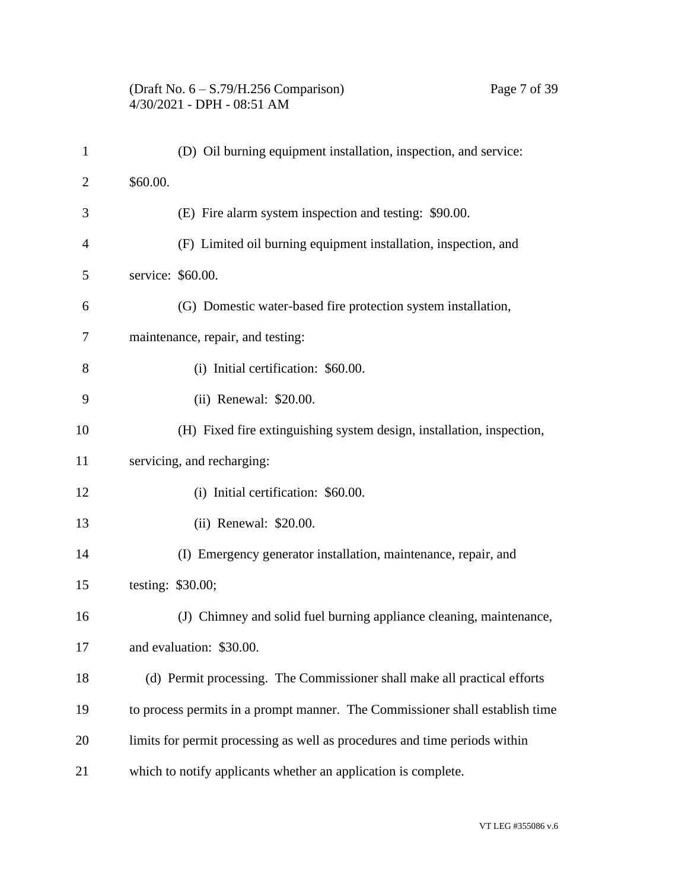#### (Draft No. 6 – S.79/H.256 Comparison) Page 7 of 39 4/30/2021 - DPH - 08:51 AM

| $\mathbf{1}$   | (D) Oil burning equipment installation, inspection, and service:             |
|----------------|------------------------------------------------------------------------------|
| $\overline{2}$ | \$60.00.                                                                     |
| 3              | (E) Fire alarm system inspection and testing: \$90.00.                       |
| $\overline{4}$ | (F) Limited oil burning equipment installation, inspection, and              |
| 5              | service: \$60.00.                                                            |
| 6              | (G) Domestic water-based fire protection system installation,                |
| 7              | maintenance, repair, and testing:                                            |
| 8              | (i) Initial certification: \$60.00.                                          |
| 9              | (ii) Renewal: \$20.00.                                                       |
| 10             | (H) Fixed fire extinguishing system design, installation, inspection,        |
| 11             | servicing, and recharging:                                                   |
| 12             | (i) Initial certification: \$60.00.                                          |
| 13             | (ii) Renewal: \$20.00.                                                       |
| 14             | (I) Emergency generator installation, maintenance, repair, and               |
| 15             | testing: \$30.00;                                                            |
| 16             | (J) Chimney and solid fuel burning appliance cleaning, maintenance,          |
| 17             | and evaluation: \$30.00.                                                     |
| 18             | (d) Permit processing. The Commissioner shall make all practical efforts     |
| 19             | to process permits in a prompt manner. The Commissioner shall establish time |
| 20             | limits for permit processing as well as procedures and time periods within   |
| 21             | which to notify applicants whether an application is complete.               |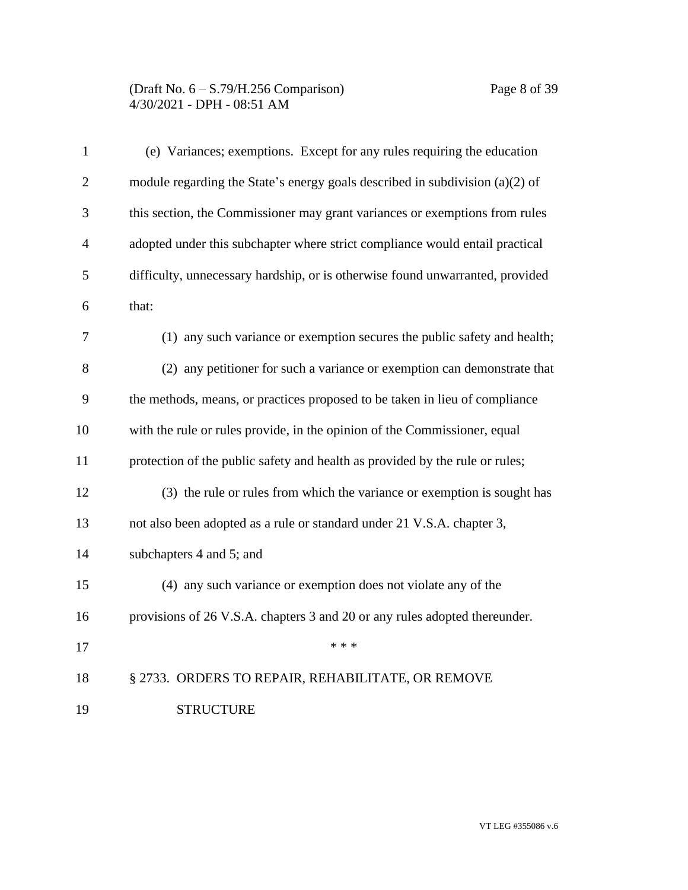| $\mathbf{1}$   | (e) Variances; exemptions. Except for any rules requiring the education       |
|----------------|-------------------------------------------------------------------------------|
| $\overline{2}$ | module regarding the State's energy goals described in subdivision (a)(2) of  |
| 3              | this section, the Commissioner may grant variances or exemptions from rules   |
| $\overline{4}$ | adopted under this subchapter where strict compliance would entail practical  |
| 5              | difficulty, unnecessary hardship, or is otherwise found unwarranted, provided |
| 6              | that:                                                                         |
| 7              | (1) any such variance or exemption secures the public safety and health;      |
| 8              | (2) any petitioner for such a variance or exemption can demonstrate that      |
| 9              | the methods, means, or practices proposed to be taken in lieu of compliance   |
| 10             | with the rule or rules provide, in the opinion of the Commissioner, equal     |
| 11             | protection of the public safety and health as provided by the rule or rules;  |
| 12             | (3) the rule or rules from which the variance or exemption is sought has      |
| 13             | not also been adopted as a rule or standard under 21 V.S.A. chapter 3,        |
| 14             | subchapters 4 and 5; and                                                      |
| 15             | (4) any such variance or exemption does not violate any of the                |
| 16             | provisions of 26 V.S.A. chapters 3 and 20 or any rules adopted thereunder.    |
| 17             | * * *                                                                         |
| 18             | § 2733. ORDERS TO REPAIR, REHABILITATE, OR REMOVE                             |
| 19             | <b>STRUCTURE</b>                                                              |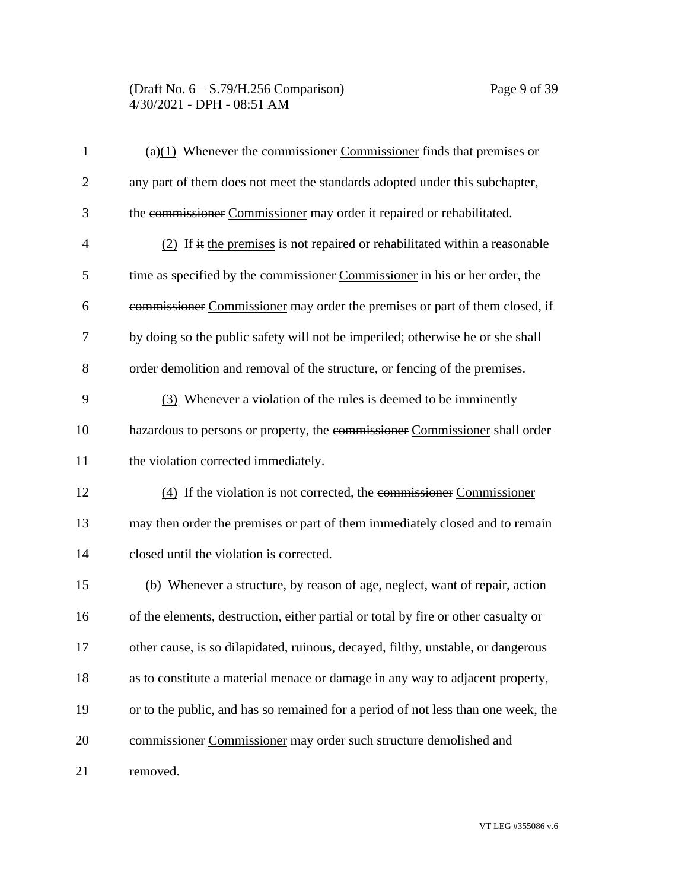| $\mathbf{1}$   | $(a)(1)$ Whenever the commissioner Commissioner finds that premises or             |
|----------------|------------------------------------------------------------------------------------|
| $\overline{2}$ | any part of them does not meet the standards adopted under this subchapter,        |
| 3              | the commissioner Commissioner may order it repaired or rehabilitated.              |
| 4              | $(2)$ If it the premises is not repaired or rehabilitated within a reasonable      |
| 5              | time as specified by the commissioner Commissioner in his or her order, the        |
| 6              | commissioner Commissioner may order the premises or part of them closed, if        |
| 7              | by doing so the public safety will not be imperiled; otherwise he or she shall     |
| 8              | order demolition and removal of the structure, or fencing of the premises.         |
| 9              | (3) Whenever a violation of the rules is deemed to be imminently                   |
| 10             | hazardous to persons or property, the commissioner Commissioner shall order        |
| 11             | the violation corrected immediately.                                               |
| 12             | $(4)$ If the violation is not corrected, the commissioner Commissioner             |
| 13             | may then order the premises or part of them immediately closed and to remain       |
| 14             | closed until the violation is corrected.                                           |
| 15             | (b) Whenever a structure, by reason of age, neglect, want of repair, action        |
| 16             | of the elements, destruction, either partial or total by fire or other casualty or |
| 17             | other cause, is so dilapidated, ruinous, decayed, filthy, unstable, or dangerous   |
| 18             | as to constitute a material menace or damage in any way to adjacent property,      |
| 19             | or to the public, and has so remained for a period of not less than one week, the  |
| 20             | commissioner Commissioner may order such structure demolished and                  |
| 21             | removed.                                                                           |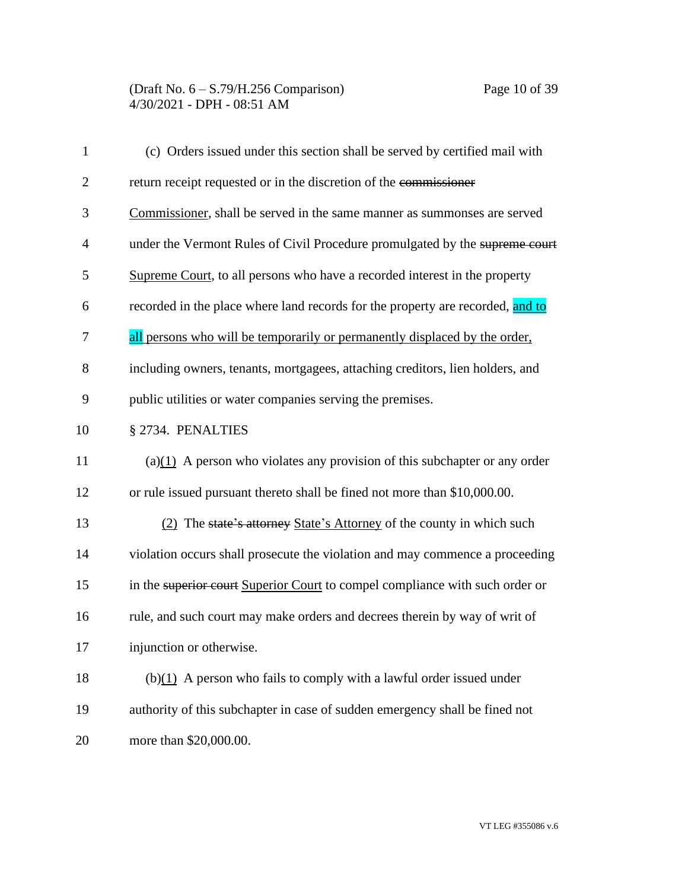| $\mathbf{1}$   | (c) Orders issued under this section shall be served by certified mail with    |
|----------------|--------------------------------------------------------------------------------|
| $\overline{2}$ | return receipt requested or in the discretion of the commissioner              |
| 3              | Commissioner, shall be served in the same manner as summonses are served       |
| $\overline{4}$ | under the Vermont Rules of Civil Procedure promulgated by the supreme court    |
| 5              | Supreme Court, to all persons who have a recorded interest in the property     |
| 6              | recorded in the place where land records for the property are recorded, and to |
| 7              | all persons who will be temporarily or permanently displaced by the order,     |
| 8              | including owners, tenants, mortgagees, attaching creditors, lien holders, and  |
| 9              | public utilities or water companies serving the premises.                      |
| 10             | § 2734. PENALTIES                                                              |
| 11             | $(a)(1)$ A person who violates any provision of this subchapter or any order   |
| 12             | or rule issued pursuant thereto shall be fined not more than \$10,000.00.      |
| 13             | (2) The state's attorney State's Attorney of the county in which such          |
| 14             | violation occurs shall prosecute the violation and may commence a proceeding   |
| 15             | in the superior court Superior Court to compel compliance with such order or   |
| 16             | rule, and such court may make orders and decrees therein by way of writ of     |
| 17             | injunction or otherwise.                                                       |
| 18             | $(b)(1)$ A person who fails to comply with a lawful order issued under         |
| 19             | authority of this subchapter in case of sudden emergency shall be fined not    |
| 20             | more than \$20,000.00.                                                         |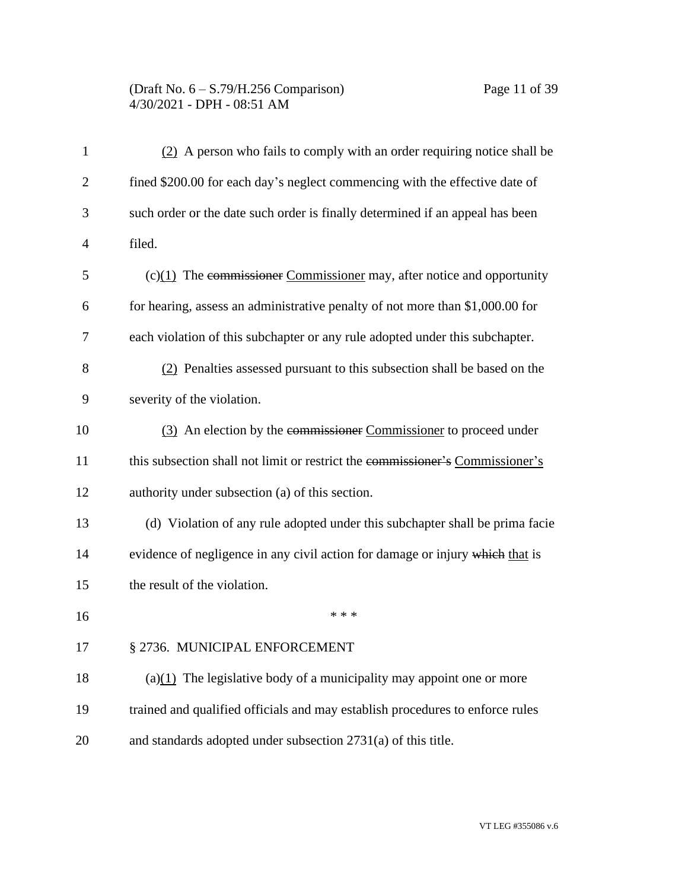# (Draft No. 6 – S.79/H.256 Comparison) Page 11 of 39 4/30/2021 - DPH - 08:51 AM

| 1              | (2) A person who fails to comply with an order requiring notice shall be      |
|----------------|-------------------------------------------------------------------------------|
| $\overline{2}$ | fined \$200.00 for each day's neglect commencing with the effective date of   |
| 3              | such order or the date such order is finally determined if an appeal has been |
| 4              | filed.                                                                        |
| 5              | $(c)(1)$ The commissioner Commissioner may, after notice and opportunity      |
| 6              | for hearing, assess an administrative penalty of not more than \$1,000.00 for |
| 7              | each violation of this subchapter or any rule adopted under this subchapter.  |
| 8              | (2) Penalties assessed pursuant to this subsection shall be based on the      |
| 9              | severity of the violation.                                                    |
| 10             | (3) An election by the commissioner Commissioner to proceed under             |
| 11             | this subsection shall not limit or restrict the commissioner's Commissioner's |
| 12             | authority under subsection (a) of this section.                               |
| 13             | (d) Violation of any rule adopted under this subchapter shall be prima facie  |
| 14             | evidence of negligence in any civil action for damage or injury which that is |
| 15             | the result of the violation.                                                  |
| 16             | * * *                                                                         |
| 17             | § 2736. MUNICIPAL ENFORCEMENT                                                 |
| 18             | $(a)(1)$ The legislative body of a municipality may appoint one or more       |
| 19             | trained and qualified officials and may establish procedures to enforce rules |
| 20             | and standards adopted under subsection 2731(a) of this title.                 |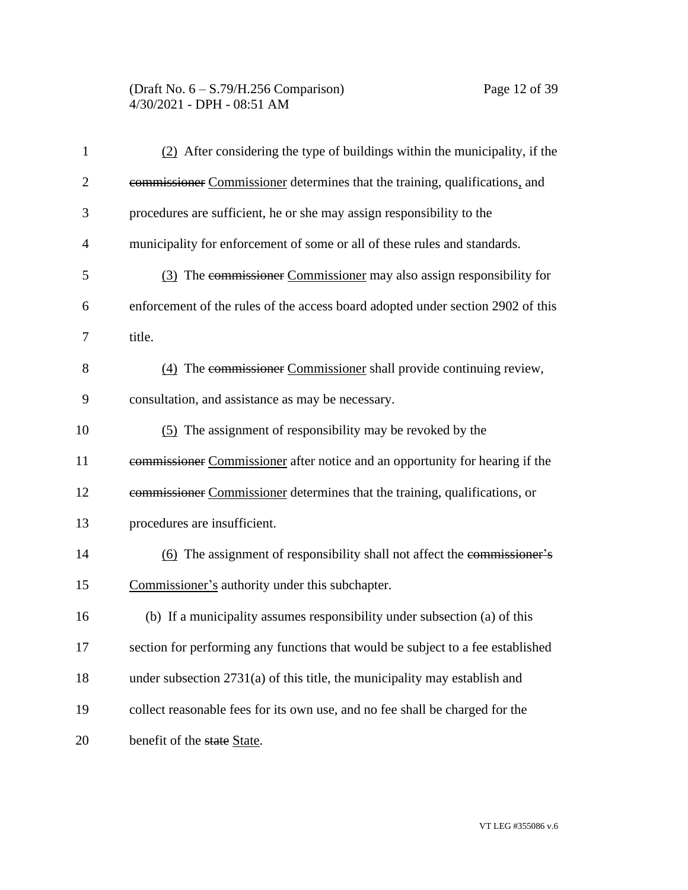### (Draft No. 6 – S.79/H.256 Comparison) Page 12 of 39 4/30/2021 - DPH - 08:51 AM

| $\mathbf{1}$   | $(2)$ After considering the type of buildings within the municipality, if the   |
|----------------|---------------------------------------------------------------------------------|
| $\overline{2}$ | commissioner Commissioner determines that the training, qualifications, and     |
| 3              | procedures are sufficient, he or she may assign responsibility to the           |
| 4              | municipality for enforcement of some or all of these rules and standards.       |
| 5              | (3) The commissioner Commissioner may also assign responsibility for            |
| 6              | enforcement of the rules of the access board adopted under section 2902 of this |
| 7              | title.                                                                          |
| 8              | (4) The commissioner Commissioner shall provide continuing review,              |
| 9              | consultation, and assistance as may be necessary.                               |
| 10             | (5) The assignment of responsibility may be revoked by the                      |
| 11             | commissioner Commissioner after notice and an opportunity for hearing if the    |
| 12             | commissioner Commissioner determines that the training, qualifications, or      |
| 13             | procedures are insufficient.                                                    |
| 14             | (6) The assignment of responsibility shall not affect the commissioner's        |
| 15             | Commissioner's authority under this subchapter.                                 |
| 16             | (b) If a municipality assumes responsibility under subsection (a) of this       |
| 17             | section for performing any functions that would be subject to a fee established |
| 18             | under subsection $2731(a)$ of this title, the municipality may establish and    |
| 19             | collect reasonable fees for its own use, and no fee shall be charged for the    |
| 20             | benefit of the state State.                                                     |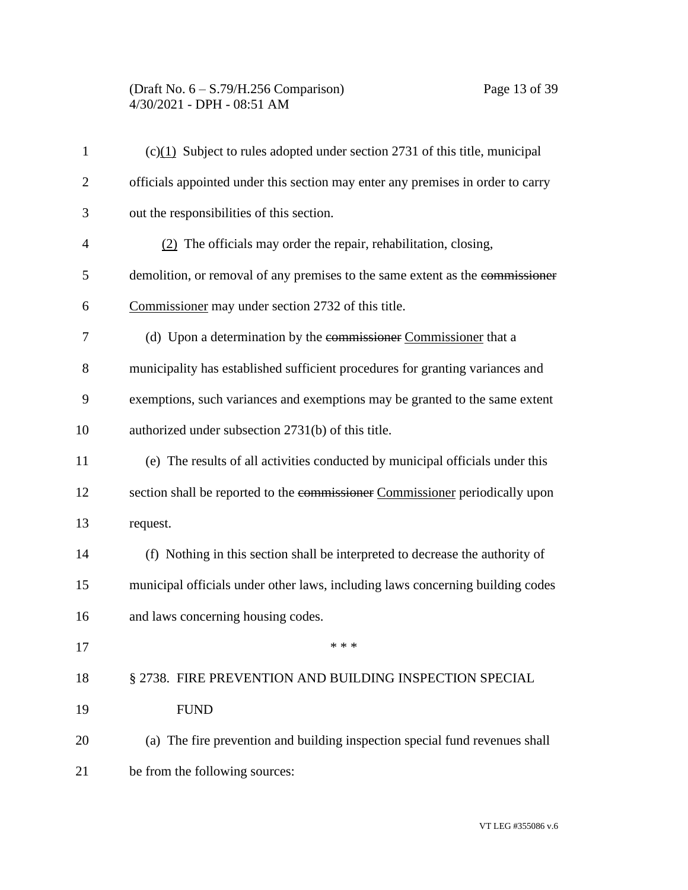# (Draft No. 6 – S.79/H.256 Comparison) Page 13 of 39 4/30/2021 - DPH - 08:51 AM

| $\mathbf{1}$ | $(c)(1)$ Subject to rules adopted under section 2731 of this title, municipal   |
|--------------|---------------------------------------------------------------------------------|
| $\mathbf{2}$ | officials appointed under this section may enter any premises in order to carry |
| 3            | out the responsibilities of this section.                                       |
| 4            | $(2)$ The officials may order the repair, rehabilitation, closing,              |
| 5            | demolition, or removal of any premises to the same extent as the commissioner   |
| 6            | Commissioner may under section 2732 of this title.                              |
| 7            | (d) Upon a determination by the commissioner Commissioner that a                |
| 8            | municipality has established sufficient procedures for granting variances and   |
| 9            | exemptions, such variances and exemptions may be granted to the same extent     |
| 10           | authorized under subsection 2731(b) of this title.                              |
| 11           | (e) The results of all activities conducted by municipal officials under this   |
| 12           | section shall be reported to the commissioner Commissioner periodically upon    |
| 13           | request.                                                                        |
| 14           | (f) Nothing in this section shall be interpreted to decrease the authority of   |
| 15           | municipal officials under other laws, including laws concerning building codes  |
| 16           | and laws concerning housing codes.                                              |
| 17           | * * *                                                                           |
| 18           | § 2738. FIRE PREVENTION AND BUILDING INSPECTION SPECIAL                         |
| 19           | <b>FUND</b>                                                                     |
| 20           | (a) The fire prevention and building inspection special fund revenues shall     |
| 21           | be from the following sources:                                                  |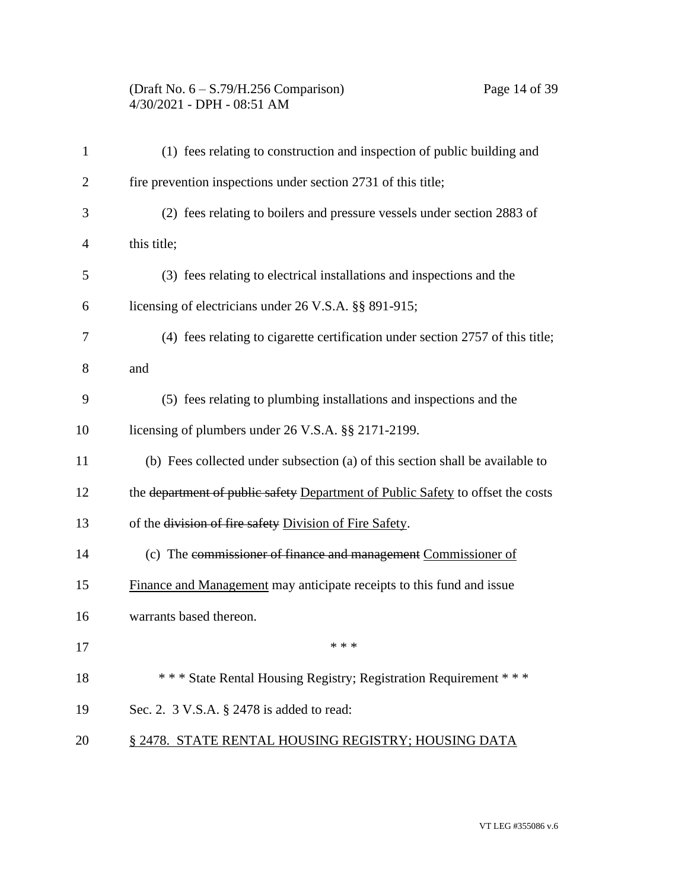# (Draft No. 6 – S.79/H.256 Comparison) Page 14 of 39 4/30/2021 - DPH - 08:51 AM

| $\mathbf{1}$   | (1) fees relating to construction and inspection of public building and         |
|----------------|---------------------------------------------------------------------------------|
| $\overline{c}$ | fire prevention inspections under section 2731 of this title;                   |
| 3              | (2) fees relating to boilers and pressure vessels under section 2883 of         |
| 4              | this title;                                                                     |
| 5              | (3) fees relating to electrical installations and inspections and the           |
| 6              | licensing of electricians under 26 V.S.A. §§ 891-915;                           |
| 7              | (4) fees relating to cigarette certification under section 2757 of this title;  |
| 8              | and                                                                             |
| 9              | (5) fees relating to plumbing installations and inspections and the             |
| 10             | licensing of plumbers under 26 V.S.A. §§ 2171-2199.                             |
| 11             | (b) Fees collected under subsection (a) of this section shall be available to   |
| 12             | the department of public safety Department of Public Safety to offset the costs |
| 13             | of the division of fire safety Division of Fire Safety.                         |
| 14             | (c) The commissioner of finance and management Commissioner of                  |
| 15             | Finance and Management may anticipate receipts to this fund and issue           |
| 16             | warrants based thereon.                                                         |
| 17             |                                                                                 |
| 18             | *** State Rental Housing Registry; Registration Requirement ***                 |
| 19             | Sec. 2. 3 V.S.A. § 2478 is added to read:                                       |
| 20             | § 2478. STATE RENTAL HOUSING REGISTRY; HOUSING DATA                             |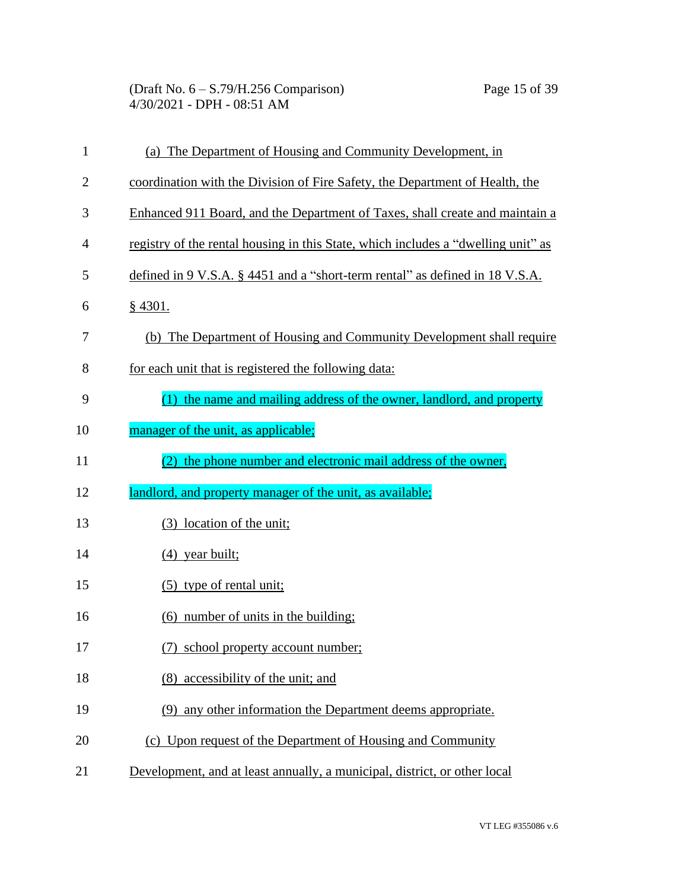(Draft No. 6 – S.79/H.256 Comparison) Page 15 of 39 4/30/2021 - DPH - 08:51 AM

| $\mathbf{1}$   | (a) The Department of Housing and Community Development, in                       |
|----------------|-----------------------------------------------------------------------------------|
| $\overline{2}$ | coordination with the Division of Fire Safety, the Department of Health, the      |
| 3              | Enhanced 911 Board, and the Department of Taxes, shall create and maintain a      |
| $\overline{4}$ | registry of the rental housing in this State, which includes a "dwelling unit" as |
| 5              | defined in 9 V.S.A. § 4451 and a "short-term rental" as defined in 18 V.S.A.      |
| 6              | $§$ 4301.                                                                         |
| 7              | (b) The Department of Housing and Community Development shall require             |
| 8              | for each unit that is registered the following data:                              |
| 9              | (1) the name and mailing address of the owner, landlord, and property             |
| 10             | manager of the unit, as applicable;                                               |
| 11             | the phone number and electronic mail address of the owner,                        |
| 12             | landlord, and property manager of the unit, as available;                         |
| 13             | (3) location of the unit;                                                         |
| 14             | $(4)$ year built;                                                                 |
| 15             | $(5)$ type of rental unit;                                                        |
| 16             | (6) number of units in the building;                                              |
|                |                                                                                   |
| 17             | (7) school property account number;                                               |
| 18             | (8) accessibility of the unit; and                                                |
| 19             | (9) any other information the Department deems appropriate.                       |
| 20             | (c) Upon request of the Department of Housing and Community                       |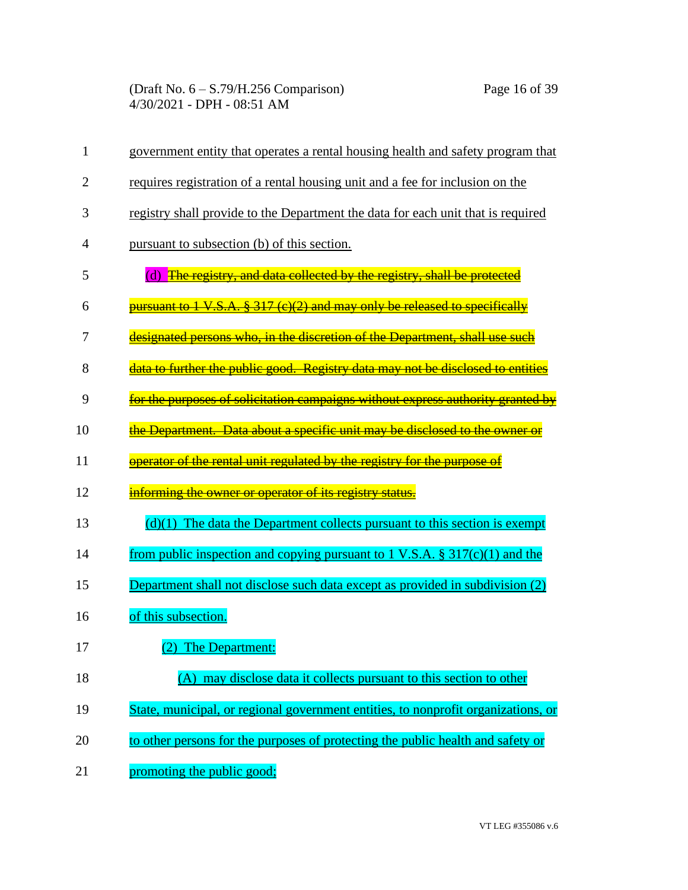(Draft No. 6 – S.79/H.256 Comparison) Page 16 of 39 4/30/2021 - DPH - 08:51 AM

| 1              | government entity that operates a rental housing health and safety program that   |
|----------------|-----------------------------------------------------------------------------------|
| 2              | requires registration of a rental housing unit and a fee for inclusion on the     |
| 3              | registry shall provide to the Department the data for each unit that is required  |
| $\overline{4}$ | pursuant to subsection (b) of this section.                                       |
| 5              | (d) The registry, and data collected by the registry, shall be protected          |
| 6              | pursuant to 1 V.S.A. § 317 (c)(2) and may only be released to specifically        |
| 7              | designated persons who, in the discretion of the Department, shall use such       |
| 8              | data to further the public good. Registry data may not be disclosed to entities   |
| 9              | for the purposes of solicitation campaigns without express authority granted by   |
| 10             | the Department. Data about a specific unit may be disclosed to the owner or       |
| 11             | operator of the rental unit regulated by the registry for the purpose of          |
| 12             | informing the owner or operator of its registry status.                           |
| 13             | $(d)(1)$ The data the Department collects pursuant to this section is exempt      |
| 14             | from public inspection and copying pursuant to 1 V.S.A. $\S 317(c)(1)$ and the    |
| 15             | Department shall not disclose such data except as provided in subdivision (2)     |
| 16             | of this subsection.                                                               |
| 17             | (2) The Department:                                                               |
| 18             | (A) may disclose data it collects pursuant to this section to other               |
| 19             | State, municipal, or regional government entities, to nonprofit organizations, or |
| 20             | to other persons for the purposes of protecting the public health and safety or   |
| 21             | promoting the public good;                                                        |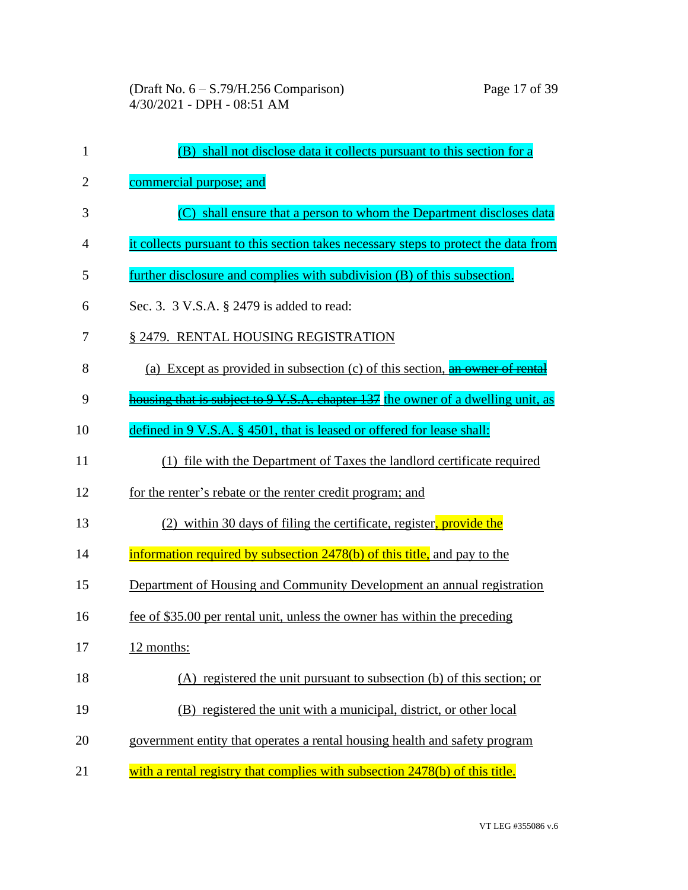| $\mathbf{1}$   | (B) shall not disclose data it collects pursuant to this section for a              |
|----------------|-------------------------------------------------------------------------------------|
| $\overline{2}$ | commercial purpose; and                                                             |
| 3              | (C) shall ensure that a person to whom the Department discloses data                |
| 4              | it collects pursuant to this section takes necessary steps to protect the data from |
| 5              | further disclosure and complies with subdivision (B) of this subsection.            |
| 6              | Sec. 3. 3 V.S.A. § 2479 is added to read:                                           |
| 7              | § 2479. RENTAL HOUSING REGISTRATION                                                 |
| 8              | (a) Except as provided in subsection (c) of this section, an owner of rental        |
| 9              | housing that is subject to 9 V.S.A. chapter 137 the owner of a dwelling unit, as    |
| 10             | defined in 9 V.S.A. § 4501, that is leased or offered for lease shall:              |
| 11             | (1) file with the Department of Taxes the landlord certificate required             |
| 12             | for the renter's rebate or the renter credit program; and                           |
| 13             | (2) within 30 days of filing the certificate, register, provide the                 |
| 14             | information required by subsection 2478(b) of this title, and pay to the            |
| 15             | Department of Housing and Community Development an annual registration              |
| 16             | fee of \$35.00 per rental unit, unless the owner has within the preceding           |
| 17             | 12 months:                                                                          |
| 18             | (A) registered the unit pursuant to subsection (b) of this section; or              |
| 19             | (B) registered the unit with a municipal, district, or other local                  |
| 20             | government entity that operates a rental housing health and safety program          |
| 21             | with a rental registry that complies with subsection 2478(b) of this title.         |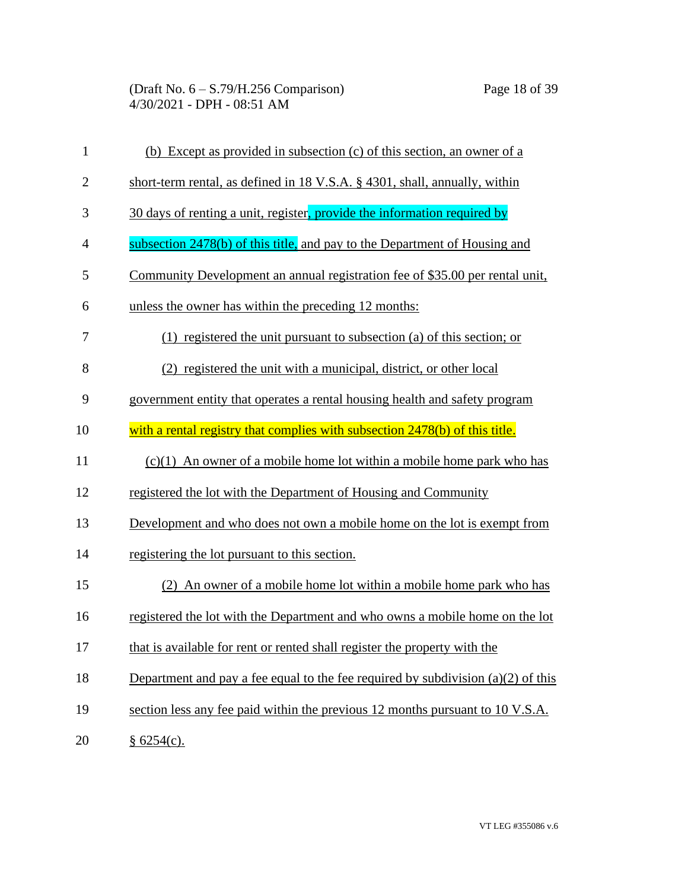| $\mathbf{1}$   | (b) Except as provided in subsection (c) of this section, an owner of a            |
|----------------|------------------------------------------------------------------------------------|
| $\mathbf{2}$   | short-term rental, as defined in 18 V.S.A. § 4301, shall, annually, within         |
| 3              | 30 days of renting a unit, register, provide the information required by           |
| $\overline{4}$ | subsection 2478(b) of this title, and pay to the Department of Housing and         |
| 5              | Community Development an annual registration fee of \$35.00 per rental unit,       |
| 6              | unless the owner has within the preceding 12 months:                               |
| 7              | $(1)$ registered the unit pursuant to subsection (a) of this section; or           |
| 8              | (2) registered the unit with a municipal, district, or other local                 |
| 9              | government entity that operates a rental housing health and safety program         |
| 10             | with a rental registry that complies with subsection 2478(b) of this title.        |
| 11             | $(c)(1)$ An owner of a mobile home lot within a mobile home park who has           |
| 12             | registered the lot with the Department of Housing and Community                    |
| 13             | Development and who does not own a mobile home on the lot is exempt from           |
| 14             | registering the lot pursuant to this section.                                      |
| 15             | (2) An owner of a mobile home lot within a mobile home park who has                |
| 16             | registered the lot with the Department and who owns a mobile home on the lot       |
| 17             | that is available for rent or rented shall register the property with the          |
| 18             | Department and pay a fee equal to the fee required by subdivision $(a)(2)$ of this |
| 19             | section less any fee paid within the previous 12 months pursuant to 10 V.S.A.      |
| 20             | §6254(c).                                                                          |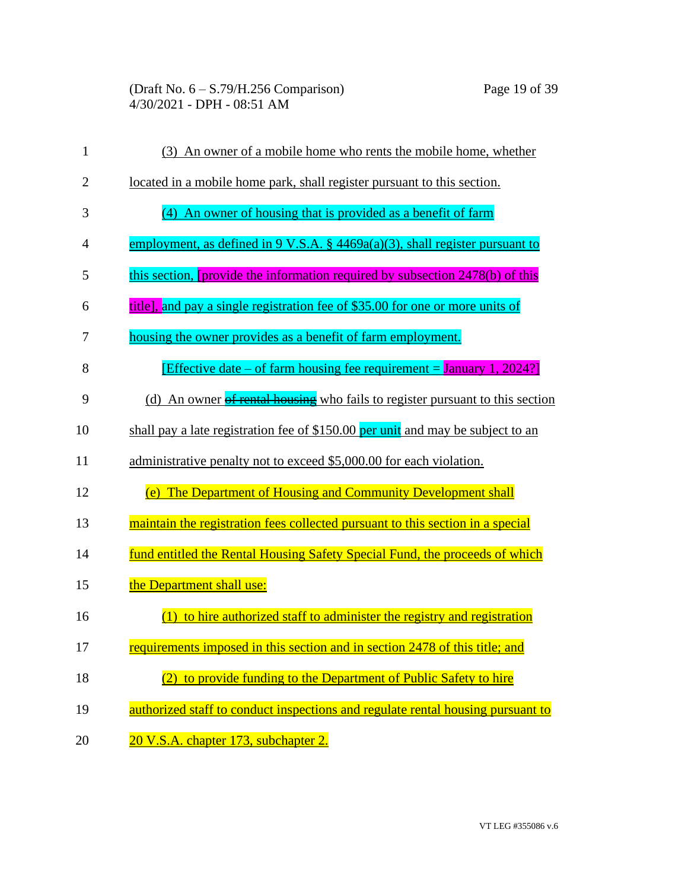(Draft No. 6 – S.79/H.256 Comparison) Page 19 of 39 4/30/2021 - DPH - 08:51 AM

| $\mathbf{1}$   | (3) An owner of a mobile home who rents the mobile home, whether                           |
|----------------|--------------------------------------------------------------------------------------------|
| $\overline{c}$ | located in a mobile home park, shall register pursuant to this section.                    |
| 3              | (4) An owner of housing that is provided as a benefit of farm                              |
| 4              | employment, as defined in $9 \text{ V.S.A. }$ § $4469a(a)(3)$ , shall register pursuant to |
| 5              | this section, [provide the information required by subsection 2478(b) of this              |
| 6              | title], and pay a single registration fee of \$35.00 for one or more units of              |
| 7              | housing the owner provides as a benefit of farm employment.                                |
| 8              | [Effective date – of farm housing fee requirement = January 1, 2024?]                      |
| 9              | (d) An owner of rental housing who fails to register pursuant to this section              |
| 10             | shall pay a late registration fee of \$150.00 per unit and may be subject to an            |
| 11             | administrative penalty not to exceed \$5,000.00 for each violation.                        |
| 12             | (e) The Department of Housing and Community Development shall                              |
| 13             | maintain the registration fees collected pursuant to this section in a special             |
| 14             | fund entitled the Rental Housing Safety Special Fund, the proceeds of which                |
| 15             | the Department shall use:                                                                  |
| 16             | $(1)$ to hire authorized staff to administer the registry and registration                 |
| 17             | requirements imposed in this section and in section 2478 of this title; and                |
| 18             | (2) to provide funding to the Department of Public Safety to hire                          |
| 19             | authorized staff to conduct inspections and regulate rental housing pursuant to            |
| 20             | 20 V.S.A. chapter 173, subchapter 2.                                                       |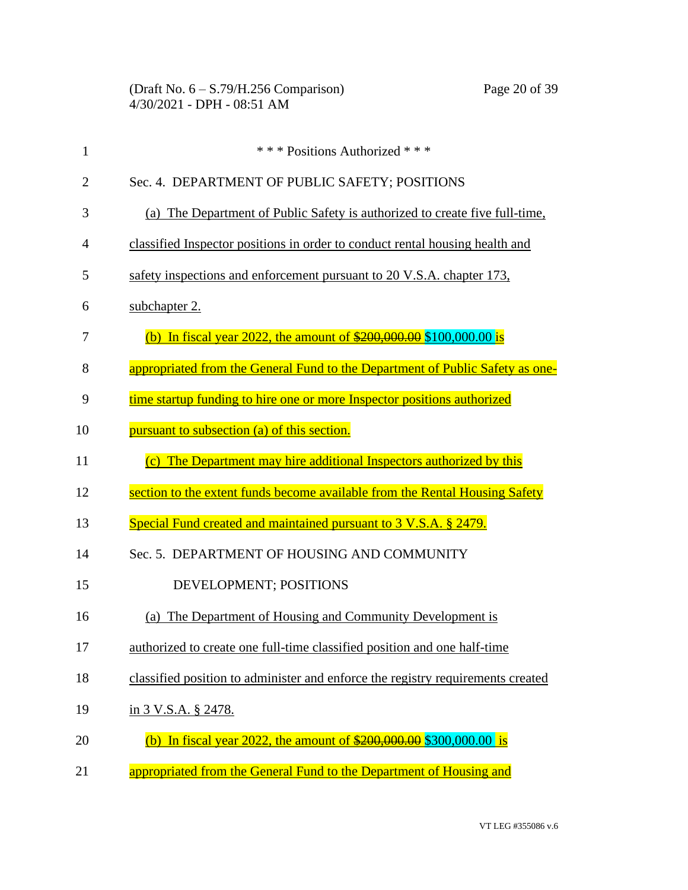| $\mathbf{1}$   | *** Positions Authorized ***                                                             |
|----------------|------------------------------------------------------------------------------------------|
| $\overline{2}$ | Sec. 4. DEPARTMENT OF PUBLIC SAFETY; POSITIONS                                           |
| 3              | (a) The Department of Public Safety is authorized to create five full-time,              |
| 4              | classified Inspector positions in order to conduct rental housing health and             |
| 5              | safety inspections and enforcement pursuant to 20 V.S.A. chapter 173,                    |
| 6              | subchapter 2.                                                                            |
| 7              | (b) In fiscal year 2022, the amount of $\frac{$200,000,00}{$200,000,00}$ \$100,000.00 is |
| 8              | appropriated from the General Fund to the Department of Public Safety as one-            |
| 9              | time startup funding to hire one or more Inspector positions authorized                  |
| 10             | pursuant to subsection (a) of this section.                                              |
| 11             | (c) The Department may hire additional Inspectors authorized by this                     |
| 12             | section to the extent funds become available from the Rental Housing Safety              |
| 13             | Special Fund created and maintained pursuant to 3 V.S.A. § 2479.                         |
| 14             | Sec. 5. DEPARTMENT OF HOUSING AND COMMUNITY                                              |
| 15             | DEVELOPMENT; POSITIONS                                                                   |
| 16             | The Department of Housing and Community Development is<br>(a)                            |
| 17             | authorized to create one full-time classified position and one half-time                 |
| 18             | classified position to administer and enforce the registry requirements created          |
| 19             | in 3 V.S.A. § 2478.                                                                      |
| 20             | (b) In fiscal year 2022, the amount of $\frac{$200,000.00}{$200,000.00}$ \to is          |
| 21             | appropriated from the General Fund to the Department of Housing and                      |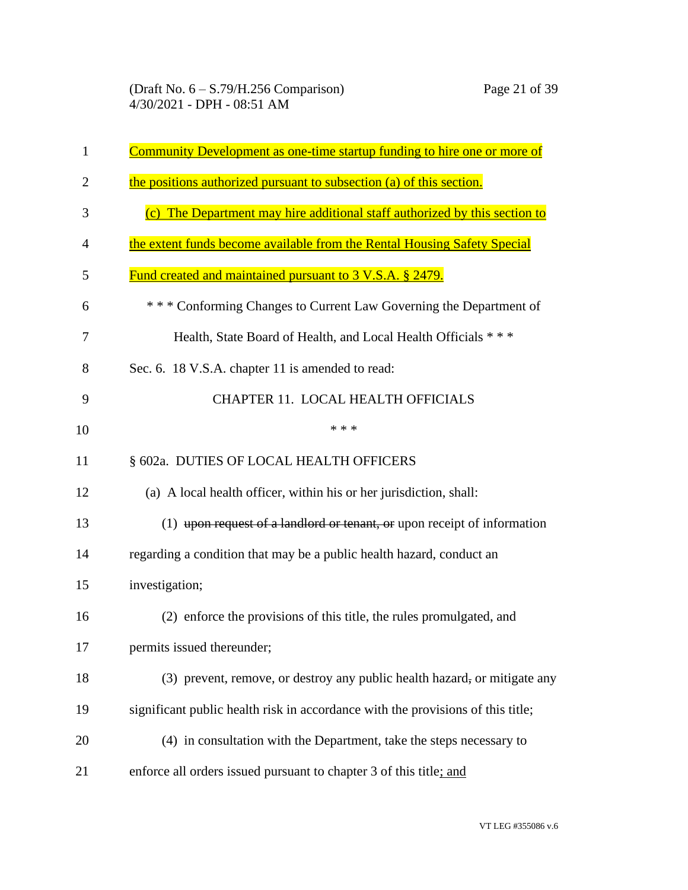| 1              | Community Development as one-time startup funding to hire one or more of        |
|----------------|---------------------------------------------------------------------------------|
| $\overline{2}$ | the positions authorized pursuant to subsection (a) of this section.            |
| 3              | (c) The Department may hire additional staff authorized by this section to      |
| 4              | the extent funds become available from the Rental Housing Safety Special        |
| 5              | Fund created and maintained pursuant to 3 V.S.A. § 2479.                        |
| 6              | *** Conforming Changes to Current Law Governing the Department of               |
| 7              | Health, State Board of Health, and Local Health Officials ***                   |
| 8              | Sec. 6. 18 V.S.A. chapter 11 is amended to read:                                |
| 9              | CHAPTER 11. LOCAL HEALTH OFFICIALS                                              |
| 10             | * * *                                                                           |
| 11             | § 602a. DUTIES OF LOCAL HEALTH OFFICERS                                         |
| 12             | (a) A local health officer, within his or her jurisdiction, shall:              |
| 13             | (1) upon request of a landlord or tenant, or upon receipt of information        |
| 14             | regarding a condition that may be a public health hazard, conduct an            |
| 15             | investigation;                                                                  |
| 16             | (2) enforce the provisions of this title, the rules promulgated, and            |
| 17             | permits issued thereunder;                                                      |
| 18             | (3) prevent, remove, or destroy any public health hazard, or mitigate any       |
| 19             | significant public health risk in accordance with the provisions of this title; |
| 20             | (4) in consultation with the Department, take the steps necessary to            |
| 21             | enforce all orders issued pursuant to chapter 3 of this title; and              |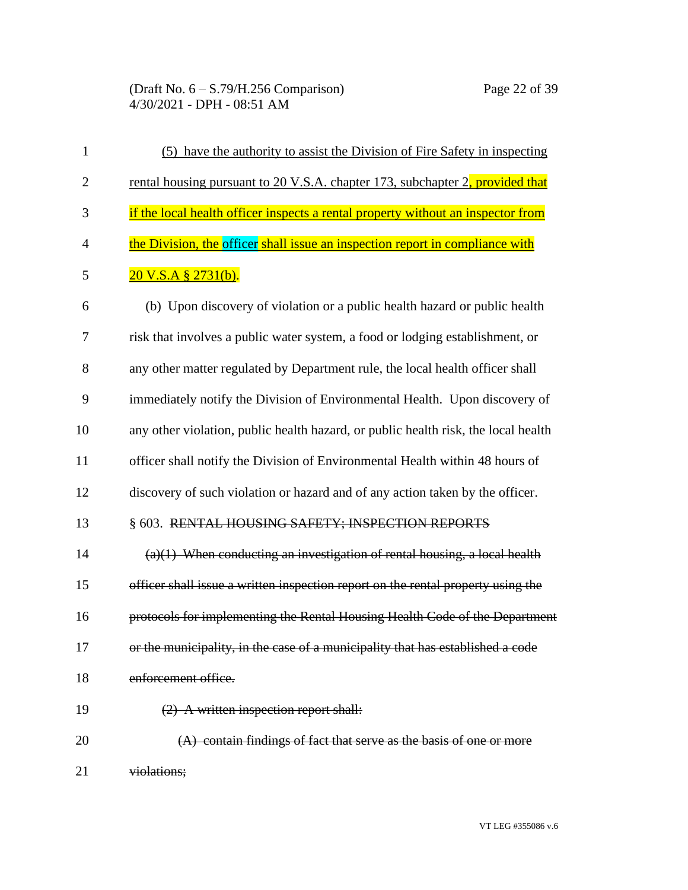(Draft No. 6 – S.79/H.256 Comparison) Page 22 of 39 4/30/2021 - DPH - 08:51 AM

| $\mathbf{1}$   | (5) have the authority to assist the Division of Fire Safety in inspecting         |
|----------------|------------------------------------------------------------------------------------|
| $\overline{2}$ | rental housing pursuant to 20 V.S.A. chapter 173, subchapter 2, provided that      |
| 3              | if the local health officer inspects a rental property without an inspector from   |
| $\overline{4}$ | the Division, the officer shall issue an inspection report in compliance with      |
| 5              | $20$ V.S.A § $2731(b)$ .                                                           |
| 6              | (b) Upon discovery of violation or a public health hazard or public health         |
| 7              | risk that involves a public water system, a food or lodging establishment, or      |
| 8              | any other matter regulated by Department rule, the local health officer shall      |
| 9              | immediately notify the Division of Environmental Health. Upon discovery of         |
| 10             | any other violation, public health hazard, or public health risk, the local health |
| 11             | officer shall notify the Division of Environmental Health within 48 hours of       |
| 12             | discovery of such violation or hazard and of any action taken by the officer.      |
| 13             | § 603. RENTAL HOUSING SAFETY; INSPECTION REPORTS                                   |
| 14             | $(a)(1)$ When conducting an investigation of rental housing, a local health        |
| 15             | officer shall issue a written inspection report on the rental property using the   |
| 16             | protocols for implementing the Rental Housing Health Code of the Department        |
| 17             | or the municipality, in the case of a municipality that has established a code     |
| 18             | enforcement office.                                                                |
| 19             | (2) A written inspection report shall:                                             |
| 20             | (A) contain findings of fact that serve as the basis of one or more                |
| 21             | violations;                                                                        |

VT LEG #355086 v.6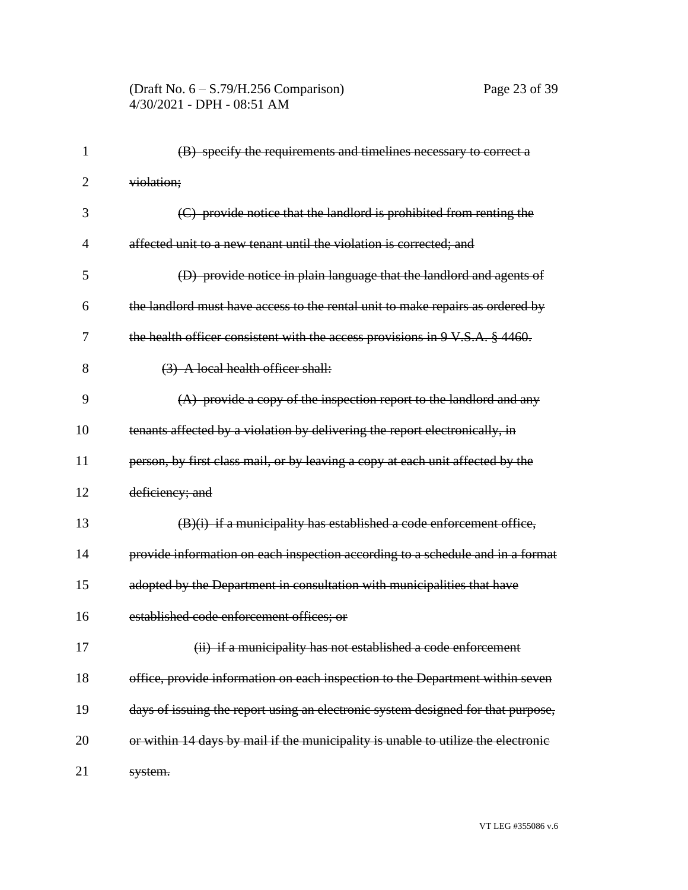#### (Draft No. 6 – S.79/H.256 Comparison) Page 23 of 39 4/30/2021 - DPH - 08:51 AM

| $\mathbf{1}$ | (B) specify the requirements and timelines necessary to correct a                 |
|--------------|-----------------------------------------------------------------------------------|
| 2            | violation;                                                                        |
| 3            | (C) provide notice that the landlord is prohibited from renting the               |
| 4            | affected unit to a new tenant until the violation is corrected; and               |
| 5            | (D) provide notice in plain language that the landlord and agents of              |
| 6            | the landlord must have access to the rental unit to make repairs as ordered by    |
| 7            | the health officer consistent with the access provisions in 9 V.S.A. § 4460.      |
| 8            | (3) A local health officer shall:                                                 |
| 9            | $(A)$ provide a copy of the inspection report to the landlord and any             |
| 10           | tenants affected by a violation by delivering the report electronically, in       |
| 11           | person, by first class mail, or by leaving a copy at each unit affected by the    |
| 12           | deficiency; and                                                                   |
| 13           | $(B)(i)$ if a municipality has established a code enforcement office,             |
| 14           | provide information on each inspection according to a schedule and in a format    |
| 15           | adopted by the Department in consultation with municipalities that have           |
| 16           | established code enforcement offices; or                                          |
| 17           | (ii) if a municipality has not established a code enforcement                     |
| 18           | office, provide information on each inspection to the Department within seven     |
| 19           | days of issuing the report using an electronic system designed for that purpose,  |
| 20           | or within 14 days by mail if the municipality is unable to utilize the electronic |
| 21           | system.                                                                           |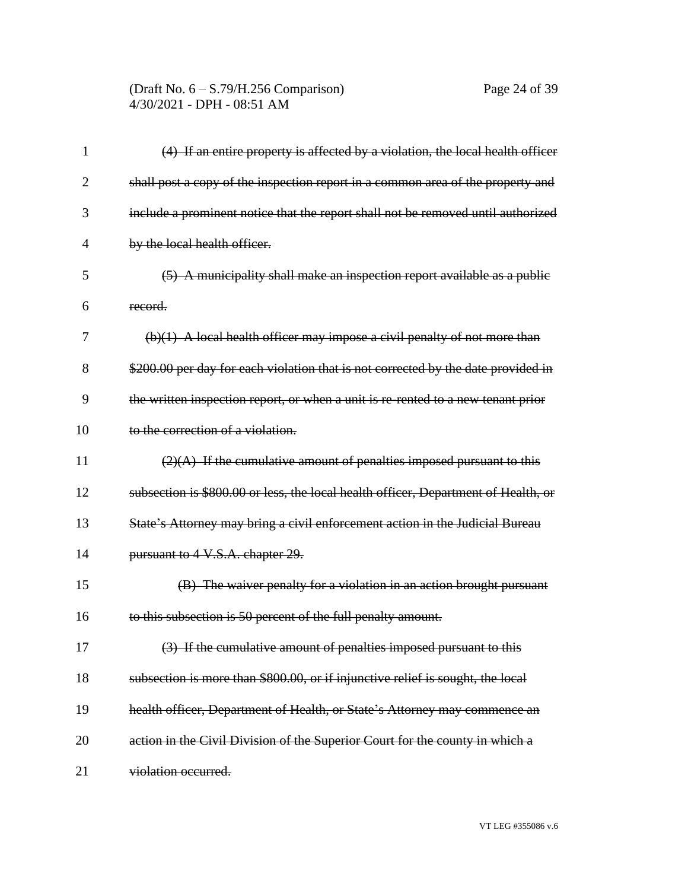#### (Draft No. 6 – S.79/H.256 Comparison) Page 24 of 39 4/30/2021 - DPH - 08:51 AM

| 1              | (4) If an entire property is affected by a violation, the local health officer     |
|----------------|------------------------------------------------------------------------------------|
| $\overline{2}$ | shall post a copy of the inspection report in a common area of the property and    |
| 3              | include a prominent notice that the report shall not be removed until authorized   |
| $\overline{4}$ | by the local health officer.                                                       |
| 5              | (5) A municipality shall make an inspection report available as a public           |
| 6              | record.                                                                            |
| 7              | $(b)(1)$ A local health officer may impose a civil penalty of not more than        |
| 8              | \$200.00 per day for each violation that is not corrected by the date provided in  |
| 9              | the written inspection report, or when a unit is re-rented to a new tenant prior   |
| 10             | to the correction of a violation.                                                  |
| 11             | $(2)(A)$ If the cumulative amount of penalties imposed pursuant to this            |
| 12             | subsection is \$800.00 or less, the local health officer, Department of Health, or |
| 13             | State's Attorney may bring a civil enforcement action in the Judicial Bureau       |
| 14             | pursuant to 4 V.S.A. chapter 29.                                                   |
| 15             | (B) The waiver penalty for a violation in an action brought pursuant               |
| 16             | to this subsection is 50 percent of the full penalty amount.                       |
| 17             | (3) If the cumulative amount of penalties imposed pursuant to this                 |
| 18             | subsection is more than \$800.00, or if injunctive relief is sought, the local     |
| 19             | health officer, Department of Health, or State's Attorney may commence an          |
| 20             | action in the Civil Division of the Superior Court for the county in which a       |
| 21             | violation occurred.                                                                |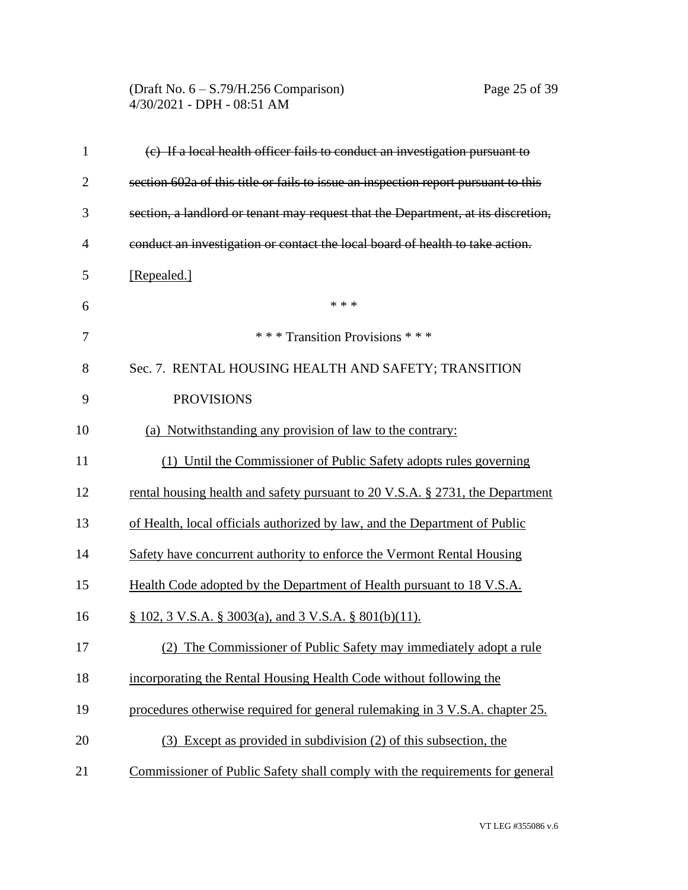#### (Draft No. 6 – S.79/H.256 Comparison) Page 25 of 39 4/30/2021 - DPH - 08:51 AM

| $\mathbf{1}$   | (c) If a local health officer fails to conduct an investigation pursuant to        |
|----------------|------------------------------------------------------------------------------------|
| $\overline{2}$ | section 602a of this title or fails to issue an inspection report pursuant to this |
| 3              | section, a landlord or tenant may request that the Department, at its discretion,  |
| $\overline{4}$ | conduct an investigation or contact the local board of health to take action.      |
| 5              | [Repealed.]                                                                        |
| 6              | * * *                                                                              |
| 7              | *** Transition Provisions ***                                                      |
| 8              | Sec. 7. RENTAL HOUSING HEALTH AND SAFETY; TRANSITION                               |
| 9              | <b>PROVISIONS</b>                                                                  |
| 10             | (a) Notwithstanding any provision of law to the contrary:                          |
| 11             | (1) Until the Commissioner of Public Safety adopts rules governing                 |
| 12             | rental housing health and safety pursuant to 20 V.S.A. § 2731, the Department      |
| 13             | of Health, local officials authorized by law, and the Department of Public         |
| 14             | Safety have concurrent authority to enforce the Vermont Rental Housing             |
| 15             | Health Code adopted by the Department of Health pursuant to 18 V.S.A.              |
| 16             | $\S$ 102, 3 V.S.A. $\S$ 3003(a), and 3 V.S.A. $\S$ 801(b)(11).                     |
| 17             | (2) The Commissioner of Public Safety may immediately adopt a rule                 |
| 18             | incorporating the Rental Housing Health Code without following the                 |
| 19             | procedures otherwise required for general rulemaking in 3 V.S.A. chapter 25.       |
| 20             | (3) Except as provided in subdivision (2) of this subsection, the                  |
| 21             | Commissioner of Public Safety shall comply with the requirements for general       |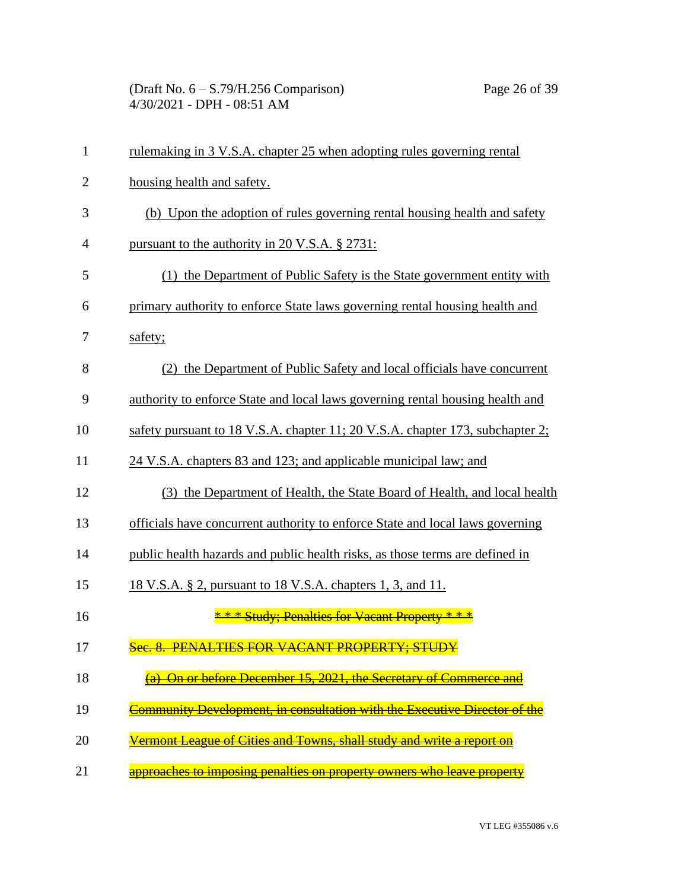| $\mathbf{1}$   | rulemaking in 3 V.S.A. chapter 25 when adopting rules governing rental             |
|----------------|------------------------------------------------------------------------------------|
| $\overline{2}$ | housing health and safety.                                                         |
| 3              | (b) Upon the adoption of rules governing rental housing health and safety          |
| $\overline{4}$ | pursuant to the authority in 20 V.S.A. § 2731:                                     |
| 5              | (1) the Department of Public Safety is the State government entity with            |
| 6              | primary authority to enforce State laws governing rental housing health and        |
| 7              | safety;                                                                            |
| 8              | (2) the Department of Public Safety and local officials have concurrent            |
| 9              | authority to enforce State and local laws governing rental housing health and      |
| 10             | safety pursuant to 18 V.S.A. chapter 11; 20 V.S.A. chapter 173, subchapter 2;      |
| 11             | 24 V.S.A. chapters 83 and 123; and applicable municipal law; and                   |
| 12             | (3) the Department of Health, the State Board of Health, and local health          |
| 13             | officials have concurrent authority to enforce State and local laws governing      |
| 14             | public health hazards and public health risks, as those terms are defined in       |
| 15             | 18 V.S.A. § 2, pursuant to 18 V.S.A. chapters 1, 3, and 11.                        |
| 16             | * * * Study; Penalties for Vacant Property * * *                                   |
| 17             | Sec. 8. PENALTIES FOR VACANT PROPERTY; STUDY                                       |
| 18             | (a) On or before December 15, 2021, the Secretary of Commerce and                  |
| 19             | <u>'ommunity Development, in consultation with the Executive Director of the '</u> |
| 20             | <del>Vermont League of Cities and Towns, shall study and write a report on</del>   |
| 21             | approaches to imposing penalties on property owners who leave property             |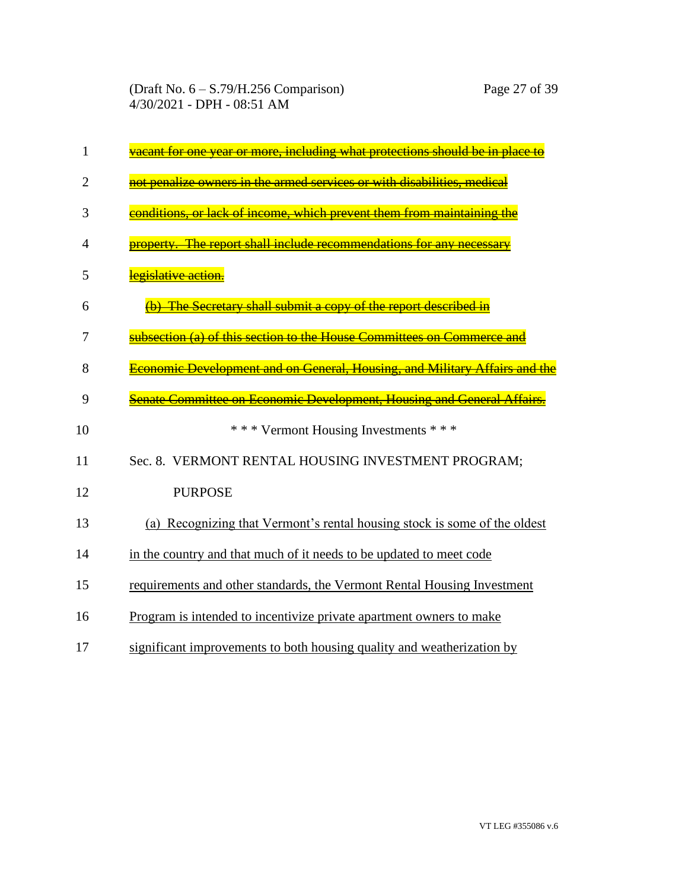| 1  | vacant for one year or more, including what protections should be in place to |
|----|-------------------------------------------------------------------------------|
| 2  | not penalize owners in the armed services or with disabilities, medical       |
| 3  | conditions, or lack of income, which prevent them from maintaining the        |
| 4  | property. The report shall include recommendations for any necessary          |
| 5  | legislative action.                                                           |
| 6  | (b) The Secretary shall submit a copy of the report described in              |
| 7  | subsection (a) of this section to the House Committees on Commerce and        |
| 8  | Economic Development and on General, Housing, and Military Affairs and the    |
| 9  | Senate Committee on Economic Development, Housing and General Affairs.        |
| 10 | *** Vermont Housing Investments ***                                           |
| 11 | Sec. 8. VERMONT RENTAL HOUSING INVESTMENT PROGRAM;                            |
| 12 | <b>PURPOSE</b>                                                                |
| 13 | (a) Recognizing that Vermont's rental housing stock is some of the oldest     |
| 14 | in the country and that much of it needs to be updated to meet code           |
| 15 | requirements and other standards, the Vermont Rental Housing Investment       |
| 16 | Program is intended to incentivize private apartment owners to make           |
| 17 | significant improvements to both housing quality and weatherization by        |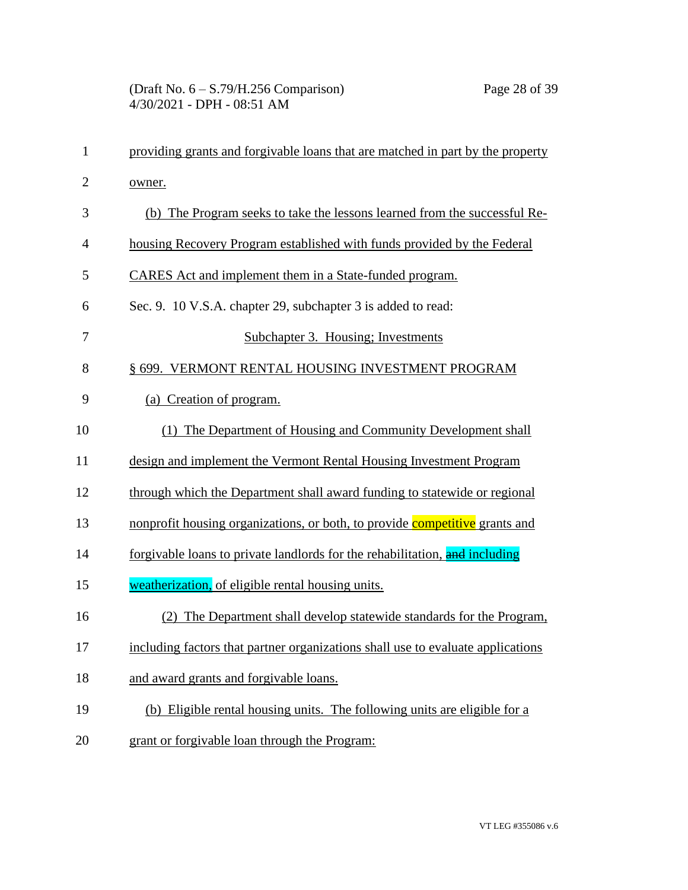| $\mathbf{1}$   | providing grants and forgivable loans that are matched in part by the property  |
|----------------|---------------------------------------------------------------------------------|
| $\overline{2}$ | owner.                                                                          |
| 3              | (b) The Program seeks to take the lessons learned from the successful Re-       |
| $\overline{4}$ | housing Recovery Program established with funds provided by the Federal         |
| 5              | CARES Act and implement them in a State-funded program.                         |
| 6              | Sec. 9. 10 V.S.A. chapter 29, subchapter 3 is added to read:                    |
| 7              | Subchapter 3. Housing; Investments                                              |
| 8              | § 699. VERMONT RENTAL HOUSING INVESTMENT PROGRAM                                |
| 9              | (a) Creation of program.                                                        |
| 10             | The Department of Housing and Community Development shall<br>(1)                |
| 11             | design and implement the Vermont Rental Housing Investment Program              |
| 12             | through which the Department shall award funding to statewide or regional       |
| 13             | nonprofit housing organizations, or both, to provide competitive grants and     |
| 14             | forgivable loans to private landlords for the rehabilitation, and including     |
| 15             | weatherization, of eligible rental housing units.                               |
| 16             | The Department shall develop statewide standards for the Program,               |
| 17             | including factors that partner organizations shall use to evaluate applications |
| 18             | and award grants and forgivable loans.                                          |
| 19             | (b) Eligible rental housing units. The following units are eligible for a       |
| 20             | grant or forgivable loan through the Program:                                   |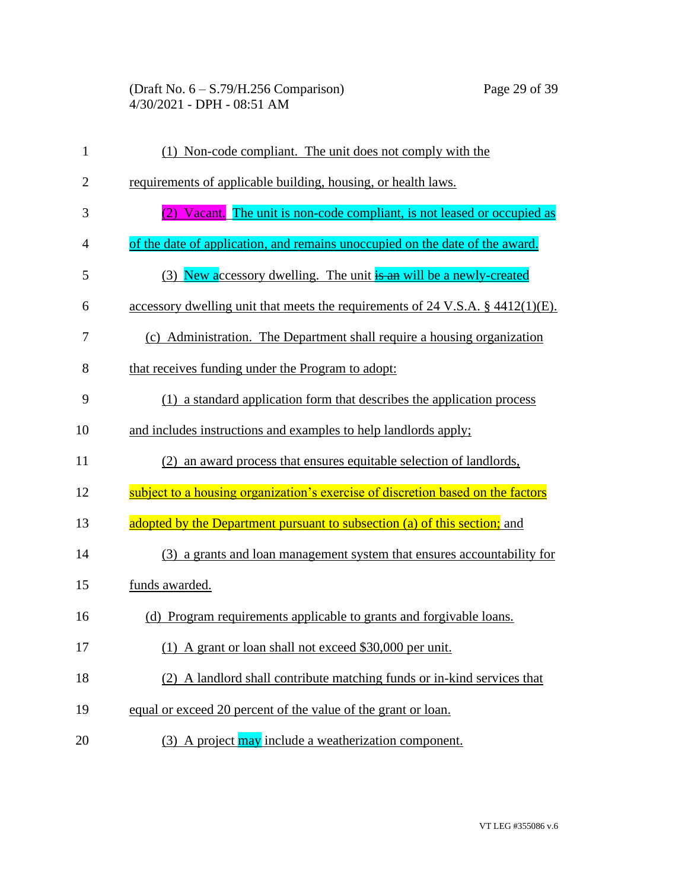| $\mathbf{1}$   | (1) Non-code compliant. The unit does not comply with the                       |
|----------------|---------------------------------------------------------------------------------|
| $\overline{2}$ | requirements of applicable building, housing, or health laws.                   |
| 3              | Vacant. The unit is non-code compliant, is not leased or occupied as            |
| $\overline{4}$ | of the date of application, and remains unoccupied on the date of the award.    |
| 5              | New accessory dwelling. The unit is an will be a newly-created<br>(3)           |
| 6              | accessory dwelling unit that meets the requirements of 24 V.S.A. § 4412(1)(E).  |
| 7              | (c) Administration. The Department shall require a housing organization         |
| 8              | that receives funding under the Program to adopt:                               |
| 9              | (1) a standard application form that describes the application process          |
| 10             | and includes instructions and examples to help landlords apply;                 |
| 11             | an award process that ensures equitable selection of landlords,<br>(2)          |
| 12             | subject to a housing organization's exercise of discretion based on the factors |
| 13             | adopted by the Department pursuant to subsection (a) of this section; and       |
| 14             | (3) a grants and loan management system that ensures accountability for         |
| 15             | funds awarded.                                                                  |
| 16             | (d) Program requirements applicable to grants and forgivable loans.             |
| 17             | (1) A grant or loan shall not exceed \$30,000 per unit.                         |
| 18             | (2) A landlord shall contribute matching funds or in-kind services that         |
| 19             | equal or exceed 20 percent of the value of the grant or loan.                   |
| 20             | (3) A project may include a weatherization component.                           |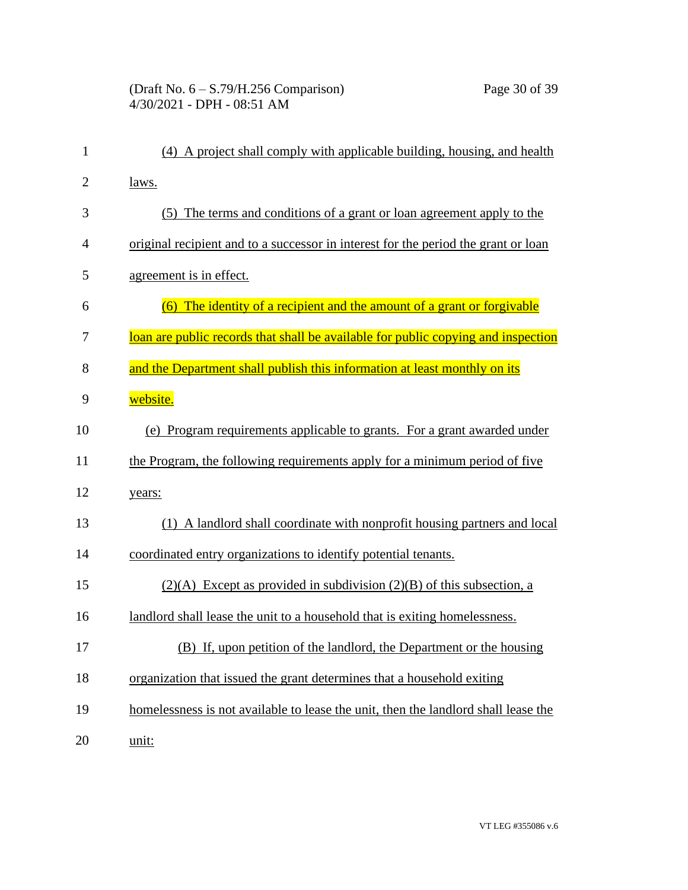# (Draft No. 6 – S.79/H.256 Comparison) Page 30 of 39 4/30/2021 - DPH - 08:51 AM

| $\mathbf{1}$   | (4) A project shall comply with applicable building, housing, and health           |
|----------------|------------------------------------------------------------------------------------|
| $\overline{2}$ | laws.                                                                              |
| 3              | (5) The terms and conditions of a grant or loan agreement apply to the             |
| $\overline{4}$ | original recipient and to a successor in interest for the period the grant or loan |
| 5              | agreement is in effect.                                                            |
| 6              | (6) The identity of a recipient and the amount of a grant or forgivable            |
| 7              | loan are public records that shall be available for public copying and inspection  |
| 8              | and the Department shall publish this information at least monthly on its          |
| 9              | website.                                                                           |
| 10             | (e) Program requirements applicable to grants. For a grant awarded under           |
| 11             | the Program, the following requirements apply for a minimum period of five         |
| 12             | years:                                                                             |
| 13             | (1) A landlord shall coordinate with nonprofit housing partners and local          |
| 14             | coordinated entry organizations to identify potential tenants.                     |
| 15             | $(2)(A)$ Except as provided in subdivision $(2)(B)$ of this subsection, a          |
| 16             | landlord shall lease the unit to a household that is exiting homelessness.         |
| 17             | (B) If, upon petition of the landlord, the Department or the housing               |
| 18             | organization that issued the grant determines that a household exiting             |
| 19             | homelessness is not available to lease the unit, then the landlord shall lease the |
| 20             | unit:                                                                              |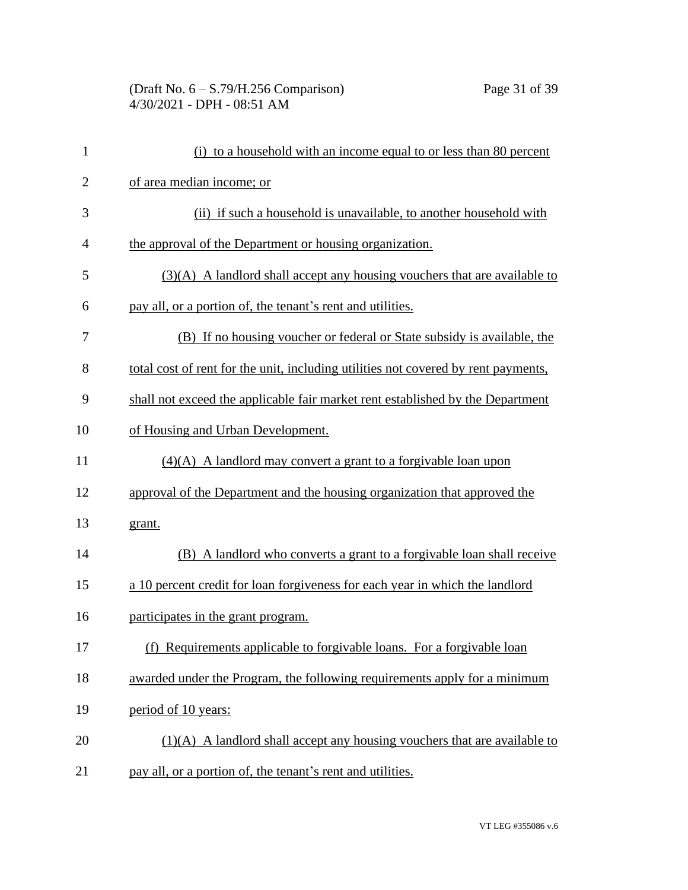| $\mathbf{1}$   | (i) to a household with an income equal to or less than 80 percent                 |
|----------------|------------------------------------------------------------------------------------|
| $\overline{2}$ | of area median income; or                                                          |
| 3              | (ii) if such a household is unavailable, to another household with                 |
| $\overline{4}$ | the approval of the Department or housing organization.                            |
| 5              | $(3)(A)$ A landlord shall accept any housing vouchers that are available to        |
| 6              | pay all, or a portion of, the tenant's rent and utilities.                         |
| 7              | (B) If no housing voucher or federal or State subsidy is available, the            |
| 8              | total cost of rent for the unit, including utilities not covered by rent payments, |
| 9              | shall not exceed the applicable fair market rent established by the Department     |
| 10             | of Housing and Urban Development.                                                  |
| 11             | (4)(A) A landlord may convert a grant to a forgivable loan upon                    |
| 12             | approval of the Department and the housing organization that approved the          |
| 13             | grant.                                                                             |
| 14             | (B) A landlord who converts a grant to a forgivable loan shall receive             |
| 15             | a 10 percent credit for loan forgiveness for each year in which the landlord       |
| 16             | participates in the grant program.                                                 |
| 17             | (f) Requirements applicable to forgivable loans. For a forgivable loan             |
| 18             | awarded under the Program, the following requirements apply for a minimum          |
| 19             | period of 10 years:                                                                |
| 20             | $(1)(A)$ A landlord shall accept any housing vouchers that are available to        |
| 21             | pay all, or a portion of, the tenant's rent and utilities.                         |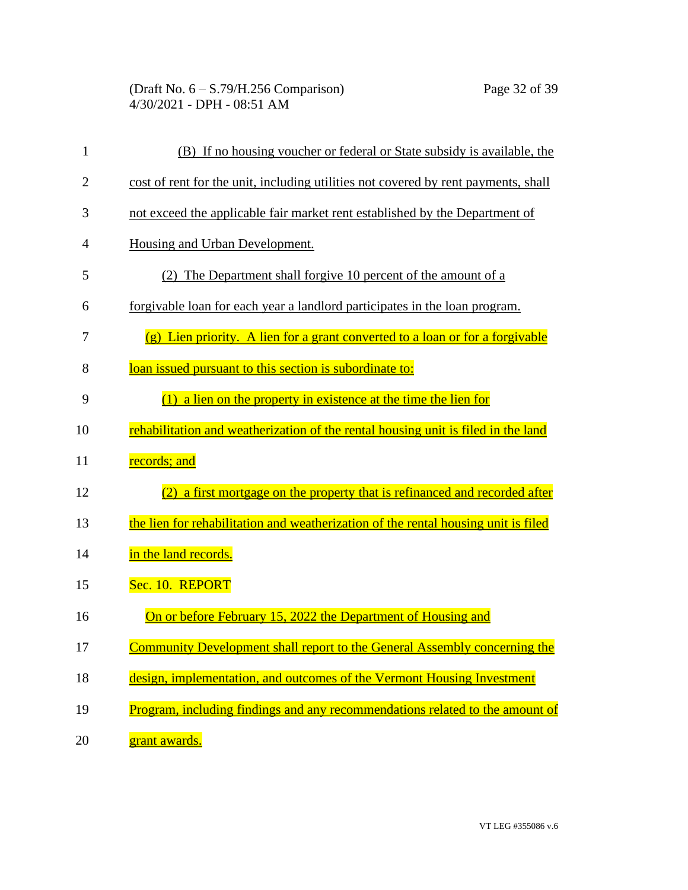| $\mathbf{1}$   | (B) If no housing voucher or federal or State subsidy is available, the            |
|----------------|------------------------------------------------------------------------------------|
| $\overline{2}$ | cost of rent for the unit, including utilities not covered by rent payments, shall |
| 3              | not exceed the applicable fair market rent established by the Department of        |
| $\overline{4}$ | Housing and Urban Development.                                                     |
| 5              | (2) The Department shall forgive 10 percent of the amount of a                     |
| 6              | forgivable loan for each year a landlord participates in the loan program.         |
| 7              | (g) Lien priority. A lien for a grant converted to a loan or for a forgivable      |
| 8              | loan issued pursuant to this section is subordinate to:                            |
| 9              | a lien on the property in existence at the time the lien for<br>(1)                |
| 10             | rehabilitation and weatherization of the rental housing unit is filed in the land  |
| 11             | records; and                                                                       |
| 12             | a first mortgage on the property that is refinanced and recorded after<br>(2)      |
| 13             | the lien for rehabilitation and weatherization of the rental housing unit is filed |
| 14             | in the land records.                                                               |
| 15             | Sec. 10. REPORT                                                                    |
| 16             | On or before February 15, 2022 the Department of Housing and                       |
| 17             | <b>Community Development shall report to the General Assembly concerning the</b>   |
| 18             | design, implementation, and outcomes of the Vermont Housing Investment             |
| 19             | Program, including findings and any recommendations related to the amount of       |
| 20             | grant awards.                                                                      |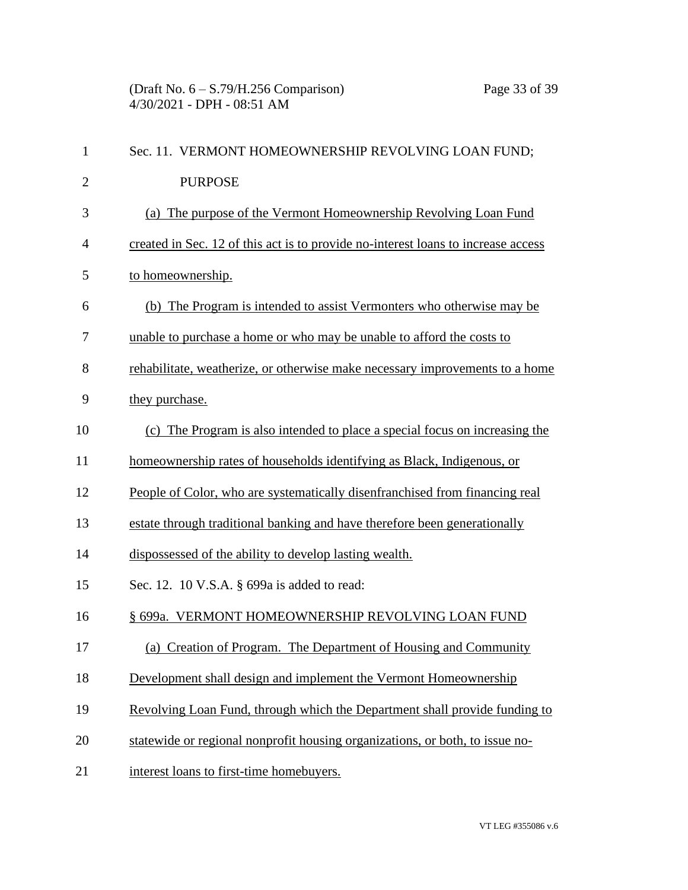| $\mathbf{1}$ | Sec. 11. VERMONT HOMEOWNERSHIP REVOLVING LOAN FUND;                               |
|--------------|-----------------------------------------------------------------------------------|
| $\mathbf{2}$ | <b>PURPOSE</b>                                                                    |
| 3            | (a) The purpose of the Vermont Homeownership Revolving Loan Fund                  |
| 4            | created in Sec. 12 of this act is to provide no-interest loans to increase access |
| 5            | to homeownership.                                                                 |
| 6            | (b) The Program is intended to assist Vermonters who otherwise may be             |
| 7            | unable to purchase a home or who may be unable to afford the costs to             |
| 8            | rehabilitate, weatherize, or otherwise make necessary improvements to a home      |
| 9            | they purchase.                                                                    |
| 10           | (c) The Program is also intended to place a special focus on increasing the       |
| 11           | homeownership rates of households identifying as Black, Indigenous, or            |
| 12           | People of Color, who are systematically disenfranchised from financing real       |
| 13           | estate through traditional banking and have therefore been generationally         |
| 14           | dispossessed of the ability to develop lasting wealth.                            |
| 15           | Sec. 12. 10 V.S.A. § 699a is added to read:                                       |
| 16           | § 699a. VERMONT HOMEOWNERSHIP REVOLVING LOAN FUND                                 |
| 17           | (a) Creation of Program. The Department of Housing and Community                  |
| 18           | Development shall design and implement the Vermont Homeownership                  |
| 19           | Revolving Loan Fund, through which the Department shall provide funding to        |
| 20           | statewide or regional nonprofit housing organizations, or both, to issue no-      |
| 21           | interest loans to first-time homebuyers.                                          |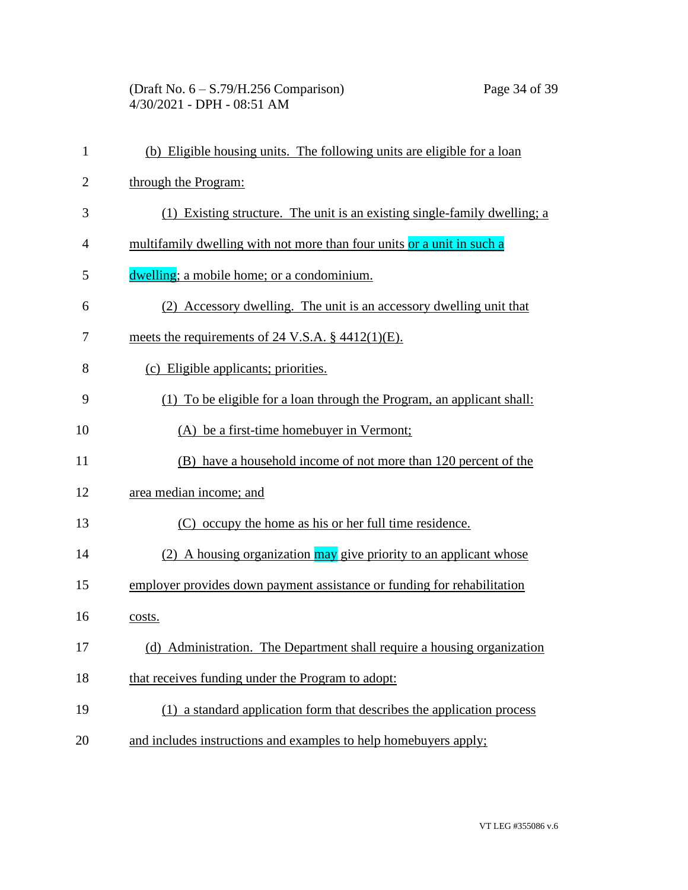(Draft No. 6 – S.79/H.256 Comparison) Page 34 of 39 4/30/2021 - DPH - 08:51 AM

| $\mathbf{1}$   | (b) Eligible housing units. The following units are eligible for a loan   |
|----------------|---------------------------------------------------------------------------|
| $\overline{c}$ | through the Program:                                                      |
| 3              | (1) Existing structure. The unit is an existing single-family dwelling; a |
| 4              | multifamily dwelling with not more than four units or a unit in such a    |
| 5              | dwelling; a mobile home; or a condominium.                                |
| 6              | (2) Accessory dwelling. The unit is an accessory dwelling unit that       |
| 7              | meets the requirements of 24 V.S.A. $\S$ 4412(1)(E).                      |
| 8              | (c) Eligible applicants; priorities.                                      |
| 9              | (1) To be eligible for a loan through the Program, an applicant shall:    |
| 10             | (A) be a first-time homebuyer in Vermont;                                 |
| 11             | (B) have a household income of not more than 120 percent of the           |
| 12             | area median income; and                                                   |
| 13             | (C) occupy the home as his or her full time residence.                    |
| 14             | (2) A housing organization may give priority to an applicant whose        |
| 15             | employer provides down payment assistance or funding for rehabilitation   |
| 16             | costs.                                                                    |
| 17             | (d) Administration. The Department shall require a housing organization   |
| 18             | that receives funding under the Program to adopt:                         |
| 19             | (1) a standard application form that describes the application process    |
| 20             | and includes instructions and examples to help homebuyers apply;          |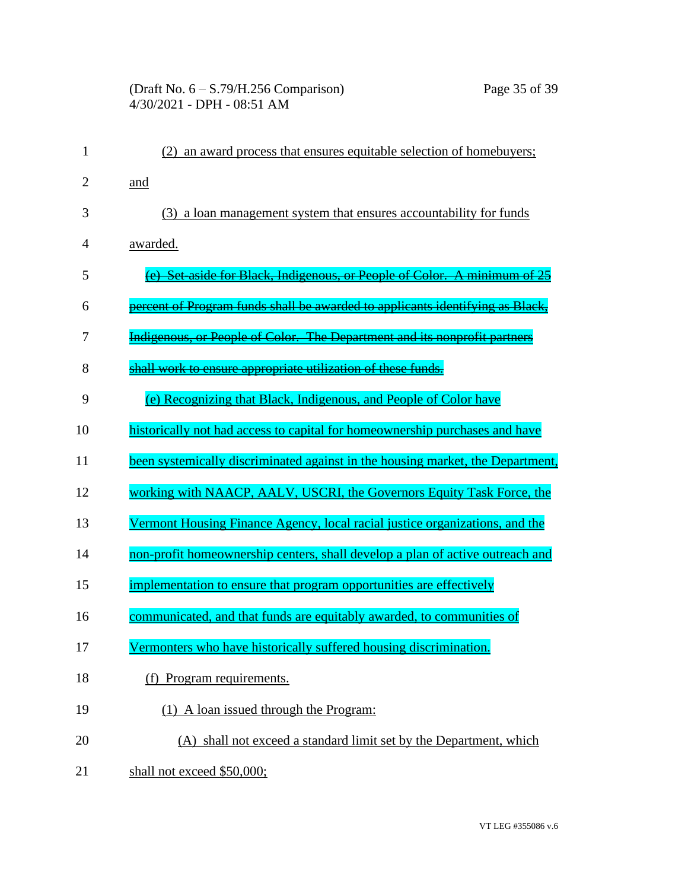### (Draft No. 6 – S.79/H.256 Comparison) Page 35 of 39 4/30/2021 - DPH - 08:51 AM

| $\mathbf{1}$ | an award process that ensures equitable selection of homebuyers;               |
|--------------|--------------------------------------------------------------------------------|
| 2            | and                                                                            |
| 3            | (3) a loan management system that ensures accountability for funds             |
| 4            | awarded.                                                                       |
| 5            | (e) Set aside for Black, Indigenous, or People of Color. A minimum of 25       |
| 6            | percent of Program funds shall be awarded to applicants identifying as Black   |
| 7            | Indigenous, or People of Color. The Department and its nonprofit partners      |
| 8            | shall work to ensure appropriate utilization of these funds.                   |
| 9            | (e) Recognizing that Black, Indigenous, and People of Color have               |
| 10           | historically not had access to capital for homeownership purchases and have    |
| 11           | been systemically discriminated against in the housing market, the Department, |
| 12           | working with NAACP, AALV, USCRI, the Governors Equity Task Force, the          |
| 13           | Vermont Housing Finance Agency, local racial justice organizations, and the    |
| 14           | non-profit homeownership centers, shall develop a plan of active outreach and  |
| 15           | implementation to ensure that program opportunities are effectively            |
| 16           | communicated, and that funds are equitably awarded, to communities of          |
| 17           | Vermonters who have historically suffered housing discrimination.              |
| 18           | (f) Program requirements.                                                      |
| 19           | (1) A loan issued through the Program:                                         |
| 20           | (A) shall not exceed a standard limit set by the Department, which             |
| 21           | shall not exceed \$50,000;                                                     |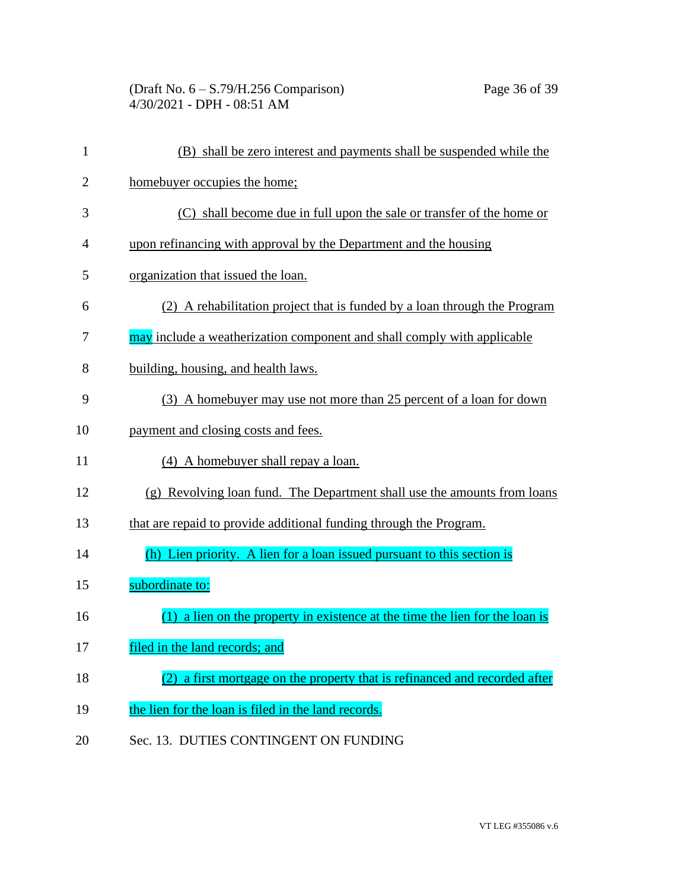| $\mathbf{1}$   | (B) shall be zero interest and payments shall be suspended while the           |
|----------------|--------------------------------------------------------------------------------|
| $\overline{2}$ | homebuyer occupies the home;                                                   |
| 3              | (C) shall become due in full upon the sale or transfer of the home or          |
| $\overline{4}$ | upon refinancing with approval by the Department and the housing               |
| 5              | organization that issued the loan.                                             |
| 6              | (2) A rehabilitation project that is funded by a loan through the Program      |
| 7              | may include a weatherization component and shall comply with applicable        |
| 8              | building, housing, and health laws.                                            |
| 9              | (3) A homebuyer may use not more than 25 percent of a loan for down            |
| 10             | payment and closing costs and fees.                                            |
| 11             | (4) A homebuyer shall repay a loan.                                            |
| 12             | (g) Revolving loan fund. The Department shall use the amounts from loans       |
| 13             | that are repaid to provide additional funding through the Program.             |
| 14             | (h) Lien priority. A lien for a loan issued pursuant to this section is        |
| 15             | subordinate to:                                                                |
| 16             | $(1)$ a lien on the property in existence at the time the lien for the loan is |
| 17             | filed in the land records; and                                                 |
| 18             | a first mortgage on the property that is refinanced and recorded after         |
| 19             | the lien for the loan is filed in the land records.                            |
| 20             | Sec. 13. DUTIES CONTINGENT ON FUNDING                                          |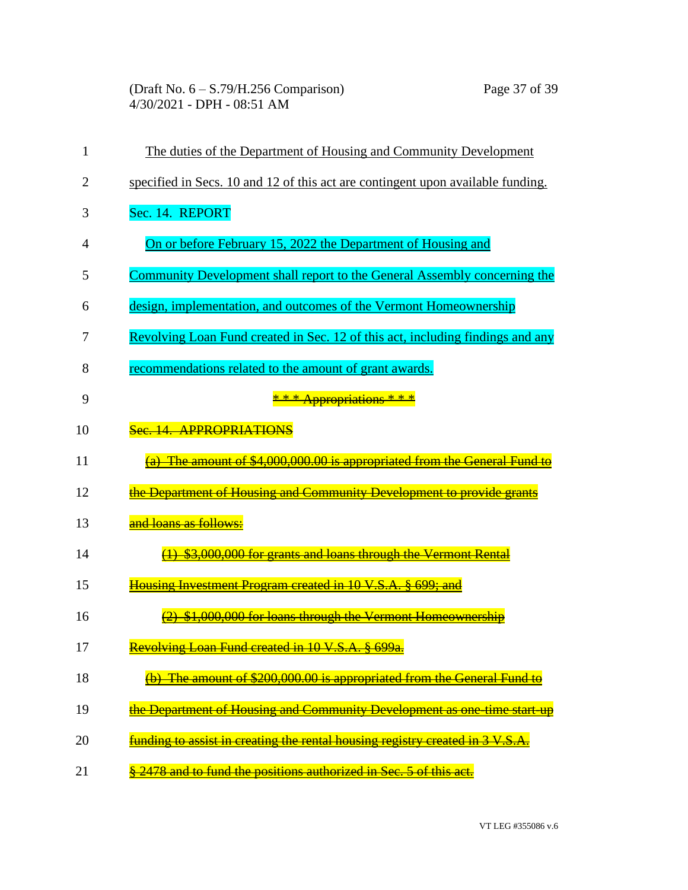(Draft No. 6 – S.79/H.256 Comparison) Page 37 of 39 4/30/2021 - DPH - 08:51 AM

| 1              | The duties of the Department of Housing and Community Development               |
|----------------|---------------------------------------------------------------------------------|
| $\overline{2}$ | specified in Secs. 10 and 12 of this act are contingent upon available funding. |
| 3              | Sec. 14. REPORT                                                                 |
| $\overline{4}$ | On or before February 15, 2022 the Department of Housing and                    |
| 5              | Community Development shall report to the General Assembly concerning the       |
| 6              | design, implementation, and outcomes of the Vermont Homeownership               |
| 7              | Revolving Loan Fund created in Sec. 12 of this act, including findings and any  |
| 8              | recommendations related to the amount of grant awards.                          |
| 9              | * * * Appropriations * * *                                                      |
| 10             | Sec. 14. APPROPRIATIONS                                                         |
| 11             | (a) The amount of \$4,000,000.00 is appropriated from the General Fund to       |
| 12             | the Department of Housing and Community Development to provide grants           |
| 13             | and loans as follows:                                                           |
| 14             | (1) \$3,000,000 for grants and loans through the Vermont Rental                 |
| 15             | Housing Investment Program created in 10 V.S.A. § 699; and                      |
| 16             | \$1,000,000 for loans through the Vermont Homeownership                         |
| 17             | Revolving Loan Fund created in 10 V.S.A. § 699a.                                |
| 18             | The amount of \$200,000.00 is appropriated from the General Fund to             |
| 19             | the Department of Housing and Community Development as one time start up        |
| 20             | funding to assist in creating the rental housing registry created in 3 V.S.A.   |
| 21             | § 2478 and to fund the positions authorized in Sec. 5 of this act.              |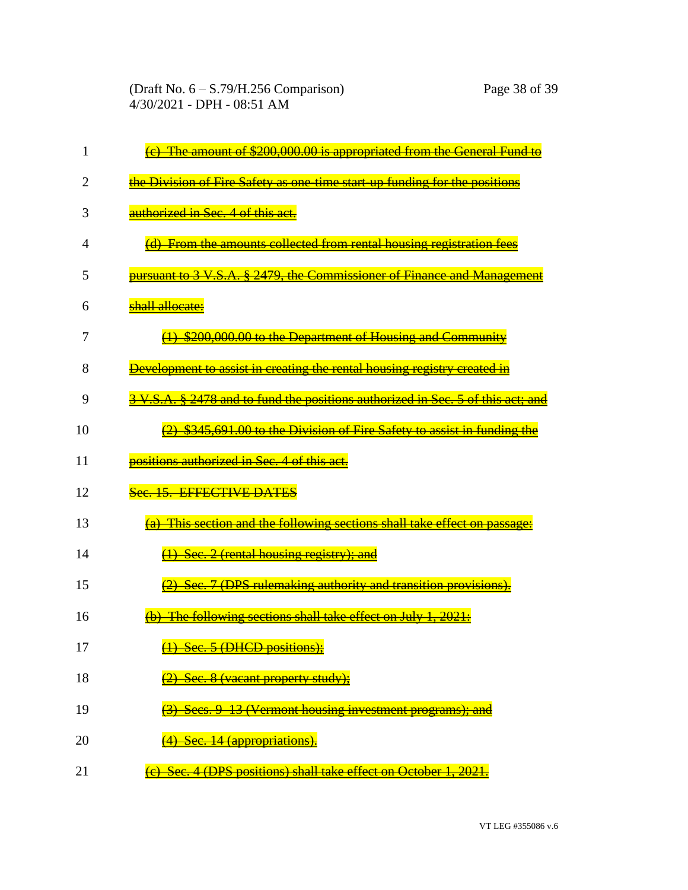| 1  | The amount of \$200,000.00 is appropriated from the General Fund to             |
|----|---------------------------------------------------------------------------------|
| 2  | the Division of Fire Safety as one-time start-up funding for the positions      |
| 3  | authorized in Sec. 4 of this act.                                               |
| 4  | (d) From the amounts collected from rental housing registration fees            |
| 5  | pursuant to 3 V.S.A. § 2479, the Commissioner of Finance and Management         |
| 6  | shall allocate:                                                                 |
| 7  | \$200,000.00 to the Department of Housing and Community                         |
| 8  | Development to assist in creating the rental housing registry created in        |
| 9  | 3 V.S.A. § 2478 and to fund the positions authorized in Sec. 5 of this act; and |
| 10 | $(2)$ \$345,691.00 to the Division of Fire Safety to assist in funding the      |
| 11 | positions authorized in Sec. 4 of this act.                                     |
| 12 | Sec. 15. EFFECTIVE DATES                                                        |
| 13 | (a) This section and the following sections shall take effect on passage:       |
| 14 | $\frac{1}{1}$ Sec. 2 (rental housing registry); and                             |
| 15 | (2) Sec. 7 (DPS rulemaking authority and transition provisions).                |
| 16 | (b) The following sections shall take effect on July 1, 2021:                   |
| 17 | (1) Sec. 5 (DHCD positions);                                                    |
| 18 | Sec. 8 (vacant property study);                                                 |
| 19 | Secs. 9 13 (Vermont housing investment programs); and                           |
| 20 | <del>(4) Sec. 14 (appropriations).</del>                                        |
| 21 | (c) Sec. 4 (DPS positions) shall take effect on October 1, 2021.                |